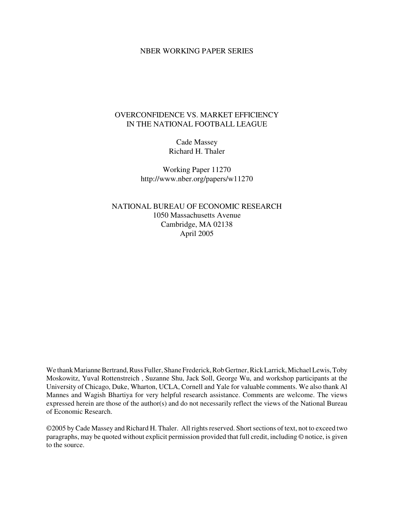### NBER WORKING PAPER SERIES

## OVERCONFIDENCE VS. MARKET EFFICIENCY IN THE NATIONAL FOOTBALL LEAGUE

Cade Massey Richard H. Thaler

Working Paper 11270 http://www.nber.org/papers/w11270

NATIONAL BUREAU OF ECONOMIC RESEARCH 1050 Massachusetts Avenue Cambridge, MA 02138 April 2005

We thank Marianne Bertrand, Russ Fuller, Shane Frederick, Rob Gertner, Rick Larrick, Michael Lewis, Toby Moskowitz, Yuval Rottenstreich , Suzanne Shu, Jack Soll, George Wu, and workshop participants at the University of Chicago, Duke, Wharton, UCLA, Cornell and Yale for valuable comments. We also thank Al Mannes and Wagish Bhartiya for very helpful research assistance. Comments are welcome. The views expressed herein are those of the author(s) and do not necessarily reflect the views of the National Bureau of Economic Research.

©2005 by Cade Massey and Richard H. Thaler. All rights reserved. Short sections of text, not to exceed two paragraphs, may be quoted without explicit permission provided that full credit, including © notice, is given to the source.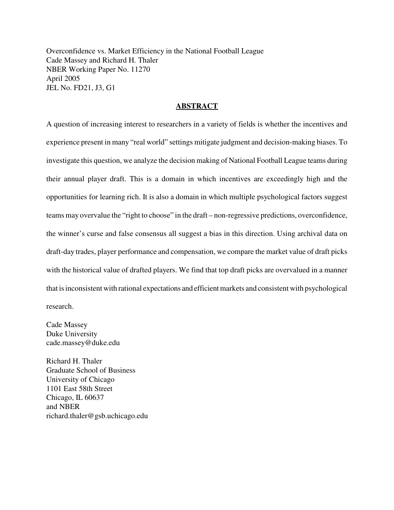Overconfidence vs. Market Efficiency in the National Football League Cade Massey and Richard H. Thaler NBER Working Paper No. 11270 April 2005 JEL No. FD21, J3, G1

### **ABSTRACT**

A question of increasing interest to researchers in a variety of fields is whether the incentives and experience present in many "real world" settings mitigate judgment and decision-making biases. To investigate this question, we analyze the decision making of National Football League teams during their annual player draft. This is a domain in which incentives are exceedingly high and the opportunities for learning rich. It is also a domain in which multiple psychological factors suggest teams may overvalue the "right to choose" in the draft – non-regressive predictions, overconfidence, the winner's curse and false consensus all suggest a bias in this direction. Using archival data on draft-day trades, player performance and compensation, we compare the market value of draft picks with the historical value of drafted players. We find that top draft picks are overvalued in a manner that is inconsistent with rational expectations and efficient markets and consistent with psychological research.

Cade Massey Duke University cade.massey@duke.edu

Richard H. Thaler Graduate School of Business University of Chicago 1101 East 58th Street Chicago, IL 60637 and NBER richard.thaler@gsb.uchicago.edu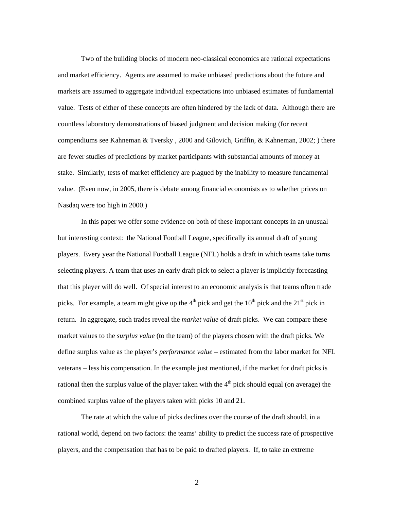Two of the building blocks of modern neo-classical economics are rational expectations and market efficiency. Agents are assumed to make unbiased predictions about the future and markets are assumed to aggregate individual expectations into unbiased estimates of fundamental value. Tests of either of these concepts are often hindered by the lack of data. Although there are countless laboratory demonstrations of biased judgment and decision making (for recent compendiums see Kahneman & Tversky , 2000 and Gilovich, Griffin, & Kahneman, 2002; ) there are fewer studies of predictions by market participants with substantial amounts of money at stake. Similarly, tests of market efficiency are plagued by the inability to measure fundamental value. (Even now, in 2005, there is debate among financial economists as to whether prices on Nasdaq were too high in 2000.)

In this paper we offer some evidence on both of these important concepts in an unusual but interesting context: the National Football League, specifically its annual draft of young players. Every year the National Football League (NFL) holds a draft in which teams take turns selecting players. A team that uses an early draft pick to select a player is implicitly forecasting that this player will do well. Of special interest to an economic analysis is that teams often trade picks. For example, a team might give up the  $4<sup>th</sup>$  pick and get the  $10<sup>th</sup>$  pick and the  $21<sup>st</sup>$  pick in return. In aggregate, such trades reveal the *market value* of draft picks. We can compare these market values to the *surplus value* (to the team) of the players chosen with the draft picks. We define surplus value as the player's *performance value* – estimated from the labor market for NFL veterans – less his compensation. In the example just mentioned, if the market for draft picks is rational then the surplus value of the player taken with the  $4<sup>th</sup>$  pick should equal (on average) the combined surplus value of the players taken with picks 10 and 21.

The rate at which the value of picks declines over the course of the draft should, in a rational world, depend on two factors: the teams' ability to predict the success rate of prospective players, and the compensation that has to be paid to drafted players. If, to take an extreme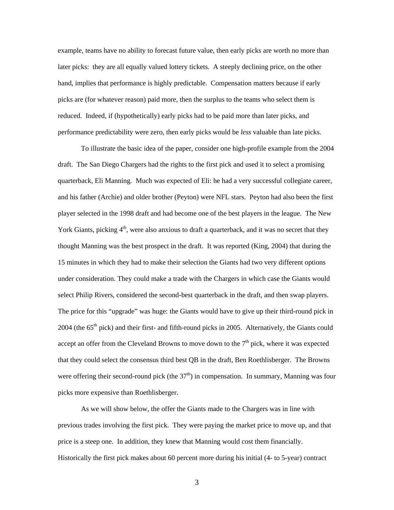example, teams have no ability to forecast future value, then early picks are worth no more than later picks: they are all equally valued lottery tickets. A steeply declining price, on the other hand, implies that performance is highly predictable. Compensation matters because if early picks are (for whatever reason) paid more, then the surplus to the teams who select them is reduced. Indeed, if (hypothetically) early picks had to be paid more than later picks, and performance predictability were zero, then early picks would be *less* valuable than late picks.

To illustrate the basic idea of the paper, consider one high-profile example from the 2004 draft. The San Diego Chargers had the rights to the first pick and used it to select a promising quarterback, Eli Manning. Much was expected of Eli: he had a very successful collegiate career, and his father (Archie) and older brother (Peyton) were NFL stars. Peyton had also been the first player selected in the 1998 draft and had become one of the best players in the league. The New York Giants, picking  $4<sup>th</sup>$ , were also anxious to draft a quarterback, and it was no secret that they thought Manning was the best prospect in the draft. It was reported (King, 2004) that during the 15 minutes in which they had to make their selection the Giants had two very different options under consideration. They could make a trade with the Chargers in which case the Giants would select Philip Rivers, considered the second-best quarterback in the draft, and then swap players. The price for this "upgrade" was huge: the Giants would have to give up their third-round pick in 2004 (the 65<sup>th</sup> pick) and their first- and fifth-round picks in 2005. Alternatively, the Giants could accept an offer from the Cleveland Browns to move down to the  $7<sup>th</sup>$  pick, where it was expected that they could select the consensus third best QB in the draft, Ben Roethlisberger. The Browns were offering their second-round pick (the  $37<sup>th</sup>$ ) in compensation. In summary, Manning was four picks more expensive than Roethlisberger.

As we will show below, the offer the Giants made to the Chargers was in line with previous trades involving the first pick. They were paying the market price to move up, and that price is a steep one. In addition, they knew that Manning would cost them financially. Historically the first pick makes about 60 percent more during his initial (4- to 5-year) contract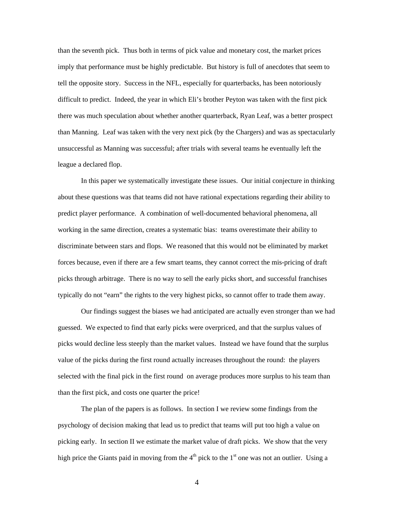than the seventh pick. Thus both in terms of pick value and monetary cost, the market prices imply that performance must be highly predictable. But history is full of anecdotes that seem to tell the opposite story. Success in the NFL, especially for quarterbacks, has been notoriously difficult to predict. Indeed, the year in which Eli's brother Peyton was taken with the first pick there was much speculation about whether another quarterback, Ryan Leaf, was a better prospect than Manning. Leaf was taken with the very next pick (by the Chargers) and was as spectacularly unsuccessful as Manning was successful; after trials with several teams he eventually left the league a declared flop.

In this paper we systematically investigate these issues. Our initial conjecture in thinking about these questions was that teams did not have rational expectations regarding their ability to predict player performance. A combination of well-documented behavioral phenomena, all working in the same direction, creates a systematic bias: teams overestimate their ability to discriminate between stars and flops. We reasoned that this would not be eliminated by market forces because, even if there are a few smart teams, they cannot correct the mis-pricing of draft picks through arbitrage. There is no way to sell the early picks short, and successful franchises typically do not "earn" the rights to the very highest picks, so cannot offer to trade them away.

Our findings suggest the biases we had anticipated are actually even stronger than we had guessed. We expected to find that early picks were overpriced, and that the surplus values of picks would decline less steeply than the market values. Instead we have found that the surplus value of the picks during the first round actually increases throughout the round: the players selected with the final pick in the first round on average produces more surplus to his team than than the first pick, and costs one quarter the price!

The plan of the papers is as follows. In section I we review some findings from the psychology of decision making that lead us to predict that teams will put too high a value on picking early. In section II we estimate the market value of draft picks. We show that the very high price the Giants paid in moving from the  $4<sup>th</sup>$  pick to the  $1<sup>st</sup>$  one was not an outlier. Using a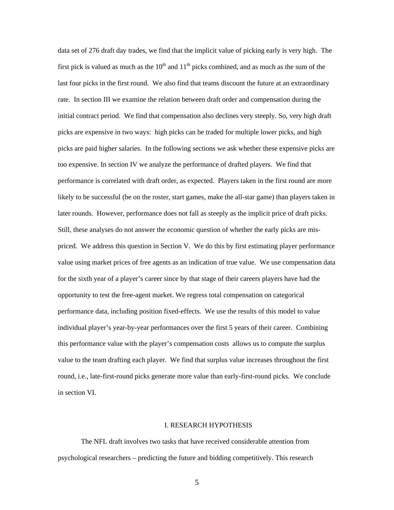data set of 276 draft day trades, we find that the implicit value of picking early is very high. The first pick is valued as much as the  $10<sup>th</sup>$  and  $11<sup>th</sup>$  picks combined, and as much as the sum of the last four picks in the first round. We also find that teams discount the future at an extraordinary rate. In section III we examine the relation between draft order and compensation during the initial contract period. We find that compensation also declines very steeply. So, very high draft picks are expensive in two ways: high picks can be traded for multiple lower picks, and high picks are paid higher salaries. In the following sections we ask whether these expensive picks are too expensive. In section IV we analyze the performance of drafted players. We find that performance is correlated with draft order, as expected. Players taken in the first round are more likely to be successful (be on the roster, start games, make the all-star game) than players taken in later rounds. However, performance does not fall as steeply as the implicit price of draft picks. Still, these analyses do not answer the economic question of whether the early picks are mispriced. We address this question in Section V. We do this by first estimating player performance value using market prices of free agents as an indication of true value. We use compensation data for the sixth year of a player's career since by that stage of their careers players have had the opportunity to test the free-agent market. We regress total compensation on categorical performance data, including position fixed-effects. We use the results of this model to value individual player's year-by-year performances over the first 5 years of their career. Combining this performance value with the player's compensation costs allows us to compute the surplus value to the team drafting each player. We find that surplus value increases throughout the first round, i.e., late-first-round picks generate more value than early-first-round picks. We conclude in section VI.

#### I. RESEARCH HYPOTHESIS

The NFL draft involves two tasks that have received considerable attention from psychological researchers – predicting the future and bidding competitively. This research

 $\overline{5}$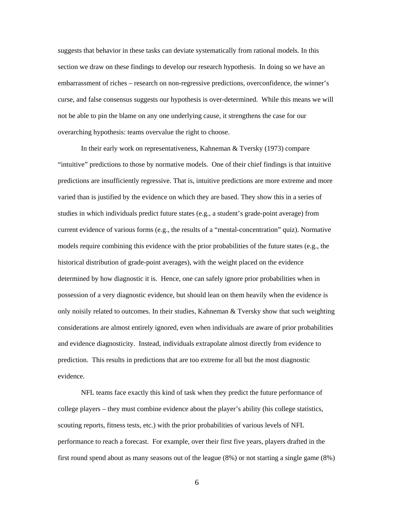suggests that behavior in these tasks can deviate systematically from rational models. In this section we draw on these findings to develop our research hypothesis. In doing so we have an embarrassment of riches – research on non-regressive predictions, overconfidence, the winner's curse, and false consensus suggests our hypothesis is over-determined. While this means we will not be able to pin the blame on any one underlying cause, it strengthens the case for our overarching hypothesis: teams overvalue the right to choose.

In their early work on representativeness, Kahneman & Tversky (1973) compare "intuitive" predictions to those by normative models. One of their chief findings is that intuitive predictions are insufficiently regressive. That is, intuitive predictions are more extreme and more varied than is justified by the evidence on which they are based. They show this in a series of studies in which individuals predict future states (e.g., a student's grade-point average) from current evidence of various forms (e.g., the results of a "mental-concentration" quiz). Normative models require combining this evidence with the prior probabilities of the future states (e.g., the historical distribution of grade-point averages), with the weight placed on the evidence determined by how diagnostic it is. Hence, one can safely ignore prior probabilities when in possession of a very diagnostic evidence, but should lean on them heavily when the evidence is only noisily related to outcomes. In their studies, Kahneman & Tversky show that such weighting considerations are almost entirely ignored, even when individuals are aware of prior probabilities and evidence diagnosticity. Instead, individuals extrapolate almost directly from evidence to prediction. This results in predictions that are too extreme for all but the most diagnostic evidence.

NFL teams face exactly this kind of task when they predict the future performance of college players – they must combine evidence about the player's ability (his college statistics, scouting reports, fitness tests, etc.) with the prior probabilities of various levels of NFL performance to reach a forecast. For example, over their first five years, players drafted in the first round spend about as many seasons out of the league (8%) or not starting a single game (8%)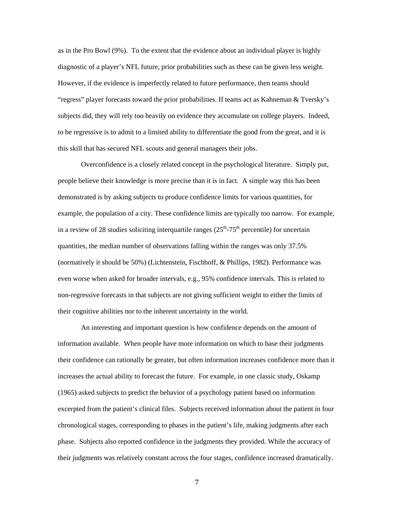as in the Pro Bowl (9%). To the extent that the evidence about an individual player is highly diagnostic of a player's NFL future, prior probabilities such as these can be given less weight. However, if the evidence is imperfectly related to future performance, then teams should "regress" player forecasts toward the prior probabilities. If teams act as Kahneman & Tversky's subjects did, they will rely too heavily on evidence they accumulate on college players. Indeed, to be regressive is to admit to a limited ability to differentiate the good from the great, and it is this skill that has secured NFL scouts and general managers their jobs.

Overconfidence is a closely related concept in the psychological literature. Simply put, people believe their knowledge is more precise than it is in fact. A simple way this has been demonstrated is by asking subjects to produce confidence limits for various quantities, for example, the population of a city. These confidence limits are typically too narrow. For example, in a review of 28 studies soliciting interquartile ranges  $(25<sup>th</sup>-75<sup>th</sup>$  percentile) for uncertain quantities, the median number of observations falling within the ranges was only 37.5% (normatively it should be 50%) (Lichtenstein, Fischhoff, & Phillips, 1982). Performance was even worse when asked for broader intervals, e.g., 95% confidence intervals. This is related to non-regressive forecasts in that subjects are not giving sufficient weight to either the limits of their cognitive abilities nor to the inherent uncertainty in the world.

An interesting and important question is how confidence depends on the amount of information available. When people have more information on which to base their judgments their confidence can rationally be greater, but often information increases confidence more than it increases the actual ability to forecast the future. For example, in one classic study, Oskamp (1965) asked subjects to predict the behavior of a psychology patient based on information excerpted from the patient's clinical files. Subjects received information about the patient in four chronological stages, corresponding to phases in the patient's life, making judgments after each phase. Subjects also reported confidence in the judgments they provided. While the accuracy of their judgments was relatively constant across the four stages, confidence increased dramatically.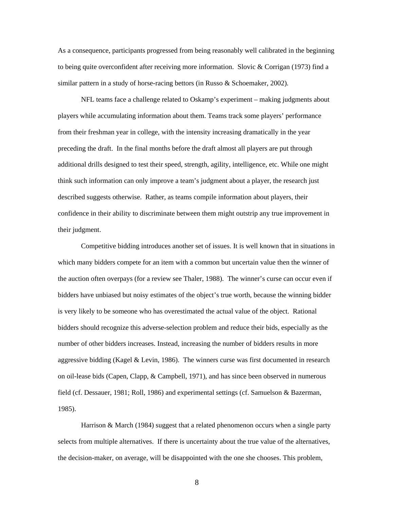As a consequence, participants progressed from being reasonably well calibrated in the beginning to being quite overconfident after receiving more information. Slovic & Corrigan (1973) find a similar pattern in a study of horse-racing bettors (in Russo & Schoemaker, 2002).

NFL teams face a challenge related to Oskamp's experiment – making judgments about players while accumulating information about them. Teams track some players' performance from their freshman year in college, with the intensity increasing dramatically in the year preceding the draft. In the final months before the draft almost all players are put through additional drills designed to test their speed, strength, agility, intelligence, etc. While one might think such information can only improve a team's judgment about a player, the research just described suggests otherwise. Rather, as teams compile information about players, their confidence in their ability to discriminate between them might outstrip any true improvement in their judgment.

Competitive bidding introduces another set of issues. It is well known that in situations in which many bidders compete for an item with a common but uncertain value then the winner of the auction often overpays (for a review see Thaler, 1988). The winner's curse can occur even if bidders have unbiased but noisy estimates of the object's true worth, because the winning bidder is very likely to be someone who has overestimated the actual value of the object. Rational bidders should recognize this adverse-selection problem and reduce their bids, especially as the number of other bidders increases. Instead, increasing the number of bidders results in more aggressive bidding (Kagel & Levin, 1986). The winners curse was first documented in research on oil-lease bids (Capen, Clapp, & Campbell, 1971), and has since been observed in numerous field (cf. Dessauer, 1981; Roll, 1986) and experimental settings (cf. Samuelson & Bazerman, 1985).

Harrison & March (1984) suggest that a related phenomenon occurs when a single party selects from multiple alternatives. If there is uncertainty about the true value of the alternatives, the decision-maker, on average, will be disappointed with the one she chooses. This problem,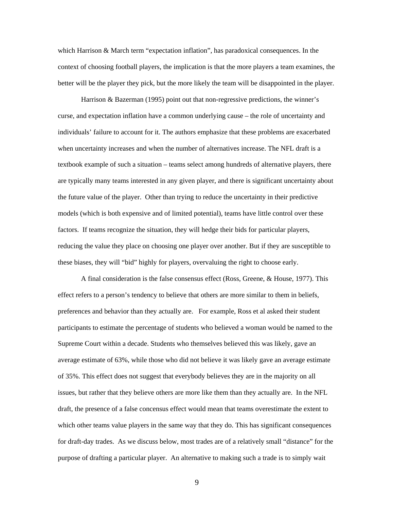which Harrison & March term "expectation inflation", has paradoxical consequences. In the context of choosing football players, the implication is that the more players a team examines, the better will be the player they pick, but the more likely the team will be disappointed in the player.

Harrison & Bazerman (1995) point out that non-regressive predictions, the winner's curse, and expectation inflation have a common underlying cause – the role of uncertainty and individuals' failure to account for it. The authors emphasize that these problems are exacerbated when uncertainty increases and when the number of alternatives increase. The NFL draft is a textbook example of such a situation – teams select among hundreds of alternative players, there are typically many teams interested in any given player, and there is significant uncertainty about the future value of the player. Other than trying to reduce the uncertainty in their predictive models (which is both expensive and of limited potential), teams have little control over these factors. If teams recognize the situation, they will hedge their bids for particular players, reducing the value they place on choosing one player over another. But if they are susceptible to these biases, they will "bid" highly for players, overvaluing the right to choose early.

A final consideration is the false consensus effect (Ross, Greene, & House, 1977). This effect refers to a person's tendency to believe that others are more similar to them in beliefs, preferences and behavior than they actually are. For example, Ross et al asked their student participants to estimate the percentage of students who believed a woman would be named to the Supreme Court within a decade. Students who themselves believed this was likely, gave an average estimate of 63%, while those who did not believe it was likely gave an average estimate of 35%. This effect does not suggest that everybody believes they are in the majority on all issues, but rather that they believe others are more like them than they actually are. In the NFL draft, the presence of a false concensus effect would mean that teams overestimate the extent to which other teams value players in the same way that they do. This has significant consequences for draft-day trades. As we discuss below, most trades are of a relatively small "distance" for the purpose of drafting a particular player. An alternative to making such a trade is to simply wait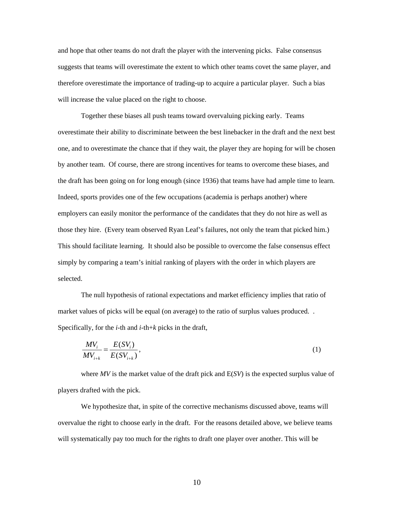and hope that other teams do not draft the player with the intervening picks. False consensus suggests that teams will overestimate the extent to which other teams covet the same player, and therefore overestimate the importance of trading-up to acquire a particular player. Such a bias will increase the value placed on the right to choose.

Together these biases all push teams toward overvaluing picking early. Teams overestimate their ability to discriminate between the best linebacker in the draft and the next best one, and to overestimate the chance that if they wait, the player they are hoping for will be chosen by another team. Of course, there are strong incentives for teams to overcome these biases, and the draft has been going on for long enough (since 1936) that teams have had ample time to learn. Indeed, sports provides one of the few occupations (academia is perhaps another) where employers can easily monitor the performance of the candidates that they do not hire as well as those they hire. (Every team observed Ryan Leaf's failures, not only the team that picked him.) This should facilitate learning. It should also be possible to overcome the false consensus effect simply by comparing a team's initial ranking of players with the order in which players are selected.

The null hypothesis of rational expectations and market efficiency implies that ratio of market values of picks will be equal (on average) to the ratio of surplus values produced. . Specifically, for the *i*-th and *i-*th+*k* picks in the draft,

$$
\frac{MV_i}{MV_{i+k}} = \frac{E(SV_i)}{E(SV_{i+k})},
$$
\n(1)

where *MV* is the market value of the draft pick and E(*SV*) is the expected surplus value of players drafted with the pick.

We hypothesize that, in spite of the corrective mechanisms discussed above, teams will overvalue the right to choose early in the draft. For the reasons detailed above, we believe teams will systematically pay too much for the rights to draft one player over another. This will be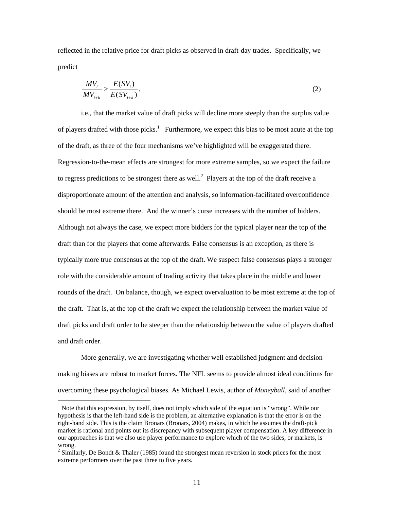reflected in the relative price for draft picks as observed in draft-day trades. Specifically, we predict

$$
\frac{MV_i}{MV_{i+k}} > \frac{E(SV_i)}{E(SV_{i+k})},\tag{2}
$$

i.e., that the market value of draft picks will decline more steeply than the surplus value of players drafted with those picks.<sup>1</sup> Furthermore, we expect this bias to be most acute at the top of the draft, as three of the four mechanisms we've highlighted will be exaggerated there. Regression-to-the-mean effects are strongest for more extreme samples, so we expect the failure to regress predictions to be strongest there as well.<sup>2</sup> Players at the top of the draft receive a disproportionate amount of the attention and analysis, so information-facilitated overconfidence should be most extreme there. And the winner's curse increases with the number of bidders. Although not always the case, we expect more bidders for the typical player near the top of the draft than for the players that come afterwards. False consensus is an exception, as there is typically more true consensus at the top of the draft. We suspect false consensus plays a stronger role with the considerable amount of trading activity that takes place in the middle and lower rounds of the draft. On balance, though, we expect overvaluation to be most extreme at the top of the draft. That is, at the top of the draft we expect the relationship between the market value of draft picks and draft order to be steeper than the relationship between the value of players drafted and draft order.

More generally, we are investigating whether well established judgment and decision making biases are robust to market forces. The NFL seems to provide almost ideal conditions for overcoming these psychological biases. As Michael Lewis, author of *Moneyball*, said of another

 $\overline{a}$ 

<sup>&</sup>lt;sup>1</sup> Note that this expression, by itself, does not imply which side of the equation is "wrong". While our hypothesis is that the left-hand side is the problem, an alternative explanation is that the error is on the right-hand side. This is the claim Bronars (Bronars, 2004) makes, in which he assumes the draft-pick market is rational and points out its discrepancy with subsequent player compensation. A key difference in our approaches is that we also use player performance to explore which of the two sides, or markets, is wrong.

<sup>&</sup>lt;sup>2</sup> Similarly, De Bondt & Thaler (1985) found the strongest mean reversion in stock prices for the most extreme performers over the past three to five years.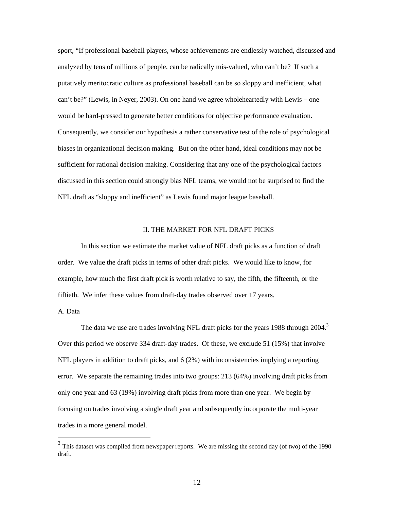sport, "If professional baseball players, whose achievements are endlessly watched, discussed and analyzed by tens of millions of people, can be radically mis-valued, who can't be? If such a putatively meritocratic culture as professional baseball can be so sloppy and inefficient, what can't be?" (Lewis, in Neyer, 2003). On one hand we agree wholeheartedly with Lewis – one would be hard-pressed to generate better conditions for objective performance evaluation. Consequently, we consider our hypothesis a rather conservative test of the role of psychological biases in organizational decision making. But on the other hand, ideal conditions may not be sufficient for rational decision making. Considering that any one of the psychological factors discussed in this section could strongly bias NFL teams, we would not be surprised to find the NFL draft as "sloppy and inefficient" as Lewis found major league baseball.

### II. THE MARKET FOR NFL DRAFT PICKS

In this section we estimate the market value of NFL draft picks as a function of draft order. We value the draft picks in terms of other draft picks. We would like to know, for example, how much the first draft pick is worth relative to say, the fifth, the fifteenth, or the fiftieth. We infer these values from draft-day trades observed over 17 years.

#### A. Data

 $\overline{a}$ 

The data we use are trades involving NFL draft picks for the years 1988 through  $2004<sup>3</sup>$ Over this period we observe 334 draft-day trades. Of these, we exclude 51 (15%) that involve NFL players in addition to draft picks, and 6 (2%) with inconsistencies implying a reporting error. We separate the remaining trades into two groups: 213 (64%) involving draft picks from only one year and 63 (19%) involving draft picks from more than one year. We begin by focusing on trades involving a single draft year and subsequently incorporate the multi-year trades in a more general model.

 $3$  This dataset was compiled from newspaper reports. We are missing the second day (of two) of the 1990 draft.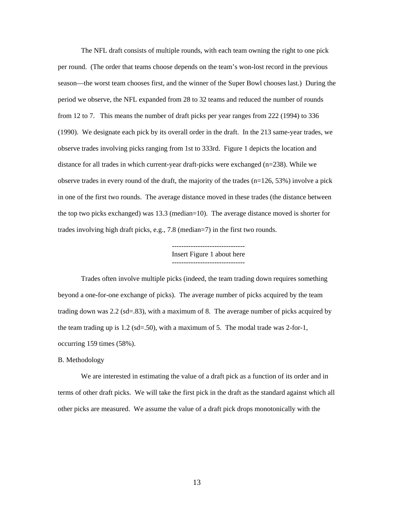The NFL draft consists of multiple rounds, with each team owning the right to one pick per round. (The order that teams choose depends on the team's won-lost record in the previous season—the worst team chooses first, and the winner of the Super Bowl chooses last.) During the period we observe, the NFL expanded from 28 to 32 teams and reduced the number of rounds from 12 to 7. This means the number of draft picks per year ranges from 222 (1994) to 336 (1990). We designate each pick by its overall order in the draft. In the 213 same-year trades, we observe trades involving picks ranging from 1st to 333rd. Figure 1 depicts the location and distance for all trades in which current-year draft-picks were exchanged (n=238). While we observe trades in every round of the draft, the majority of the trades  $(n=126, 53%)$  involve a pick in one of the first two rounds. The average distance moved in these trades (the distance between the top two picks exchanged) was 13.3 (median=10). The average distance moved is shorter for trades involving high draft picks, e.g., 7.8 (median=7) in the first two rounds.

> ------------------------------- Insert Figure 1 about here -------------------------------

Trades often involve multiple picks (indeed, the team trading down requires something beyond a one-for-one exchange of picks). The average number of picks acquired by the team trading down was 2.2 (sd=.83), with a maximum of 8. The average number of picks acquired by the team trading up is 1.2 (sd=.50), with a maximum of 5. The modal trade was 2-for-1, occurring 159 times (58%).

### B. Methodology

We are interested in estimating the value of a draft pick as a function of its order and in terms of other draft picks. We will take the first pick in the draft as the standard against which all other picks are measured. We assume the value of a draft pick drops monotonically with the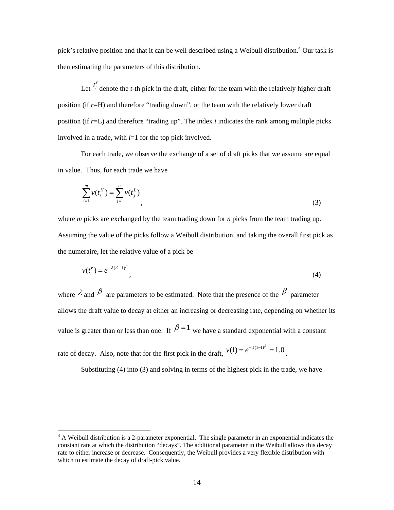pick's relative position and that it can be well described using a Weibull distribution.<sup>4</sup> Our task is then estimating the parameters of this distribution.

Let  $t_i^r$  denote the *t*-th pick in the draft, either for the team with the relatively higher draft position (if *r*=H) and therefore "trading down", or the team with the relatively lower draft position (if *r*=L) and therefore "trading up". The index *i* indicates the rank among multiple picks involved in a trade, with *i*=1 for the top pick involved.

For each trade, we observe the exchange of a set of draft picks that we assume are equal in value. Thus, for each trade we have

$$
\sum_{i=1}^{m} v(t_i^H) = \sum_{j=1}^{n} v(t_j^L)
$$
\n(3)

where *m* picks are exchanged by the team trading down for *n* picks from the team trading up. Assuming the value of the picks follow a Weibull distribution, and taking the overall first pick as the numeraire, let the relative value of a pick be

$$
v(t_i^r) = e^{-\lambda(t_i^r - 1)^\beta},\tag{4}
$$

where  $\lambda$  and  $\beta$  are parameters to be estimated. Note that the presence of the  $\beta$  parameter allows the draft value to decay at either an increasing or decreasing rate, depending on whether its value is greater than or less than one. If  $\beta = 1$  we have a standard exponential with a constant rate of decay. Also, note that for the first pick in the draft,  $v(1) = e^{-\lambda(1-1)^{\beta}} = 1.0$ .

Substituting (4) into (3) and solving in terms of the highest pick in the trade, we have

 $\overline{a}$ 

 $4 \text{ A}$  Weibull distribution is a 2-parameter exponential. The single parameter in an exponential indicates the constant rate at which the distribution "decays". The additional parameter in the Weibull allows this decay rate to either increase or decrease. Consequently, the Weibull provides a very flexible distribution with which to estimate the decay of draft-pick value.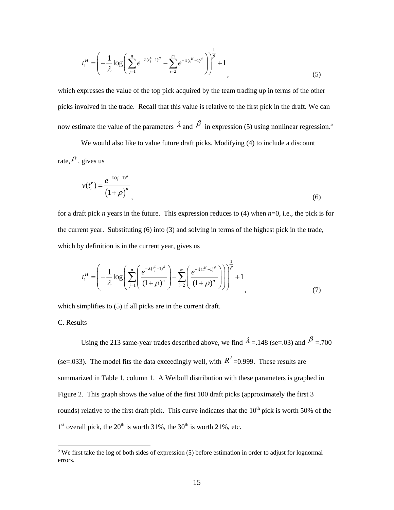$$
t_1^H = \left(-\frac{1}{\lambda}\log\left(\sum_{j=1}^n e^{-\lambda(t_j^L - 1)^\beta} - \sum_{i=2}^m e^{-\lambda(t_i^H - 1)^\beta}\right)\right)^\frac{1}{\beta} + 1\tag{5}
$$

which expresses the value of the top pick acquired by the team trading up in terms of the other picks involved in the trade. Recall that this value is relative to the first pick in the draft. We can now estimate the value of the parameters  $\lambda$  and  $\beta$  in expression (5) using nonlinear regression.<sup>5</sup>

We would also like to value future draft picks. Modifying (4) to include a discount rate,  $\rho$ , gives us

$$
v(t_i^r) = \frac{e^{-\lambda(t_i^r - 1)^\beta}}{\left(1 + \rho\right)^n},\tag{6}
$$

for a draft pick *n* years in the future. This expression reduces to (4) when *n*=0, i.e., the pick is for the current year. Substituting (6) into (3) and solving in terms of the highest pick in the trade, which by definition is in the current year, gives us

$$
t_1^H = \left(-\frac{1}{\lambda}\log\left(\sum_{j=1}^n \left(\frac{e^{-\lambda(t_j^L-1)^\beta}}{(1+\rho)^n}\right)-\sum_{i=2}^m \left(\frac{e^{-\lambda(t_i^H-1)^\beta}}{(1+\rho)^n}\right)\right)\right)^{\frac{1}{\beta}}+1
$$
\n(7)

which simplifies to  $(5)$  if all picks are in the current draft.

C. Results

Using the 213 same-year trades described above, we find  $\lambda = 148$  (se=.03) and  $\beta = 700$ (se=.033). The model fits the data exceedingly well, with  $R^2$  =0.999. These results are summarized in Table 1, column 1. A Weibull distribution with these parameters is graphed in Figure 2. This graph shows the value of the first 100 draft picks (approximately the first 3 rounds) relative to the first draft pick. This curve indicates that the  $10<sup>th</sup>$  pick is worth 50% of the  $1<sup>st</sup>$  overall pick, the  $20<sup>th</sup>$  is worth 31%, the 30<sup>th</sup> is worth 21%, etc.

<sup>&</sup>lt;sup>5</sup> We first take the log of both sides of expression (5) before estimation in order to adjust for lognormal errors.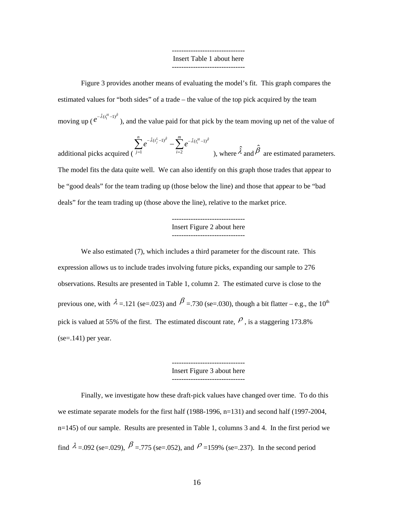#### ------------------------------- Insert Table 1 about here -------------------------------

Figure 3 provides another means of evaluating the model's fit. This graph compares the estimated values for "both sides" of a trade – the value of the top pick acquired by the team moving up (  $e^{-\hat{\lambda}(t_1^H - 1)^{\hat{\beta}}}$ ), and the value paid for that pick by the team moving up net of the value of

additional picks acquired (
$$
\sum_{j=1}^{n} e^{-\hat{\lambda}(t_j^L - 1)^{\hat{\beta}}} - \sum_{i=2}^{m} e^{-\hat{\lambda}(t_i^H - 1)^{\hat{\beta}}}
$$
), where  $\hat{\lambda}$  and  $\hat{\beta}$  are estimated parameters.

The model fits the data quite well. We can also identify on this graph those trades that appear to be "good deals" for the team trading up (those below the line) and those that appear to be "bad deals" for the team trading up (those above the line), relative to the market price.

### ------------------------------- Insert Figure 2 about here -------------------------------

We also estimated (7), which includes a third parameter for the discount rate. This expression allows us to include trades involving future picks, expanding our sample to 276 observations. Results are presented in Table 1, column 2. The estimated curve is close to the previous one, with  $\lambda = 121$  (se=.023) and  $\beta = 730$  (se=.030), though a bit flatter – e.g., the 10<sup>th</sup> pick is valued at 55% of the first. The estimated discount rate,  $\rho$ , is a staggering 173.8%  $(se=.141)$  per year.

> ------------------------------- Insert Figure 3 about here

Finally, we investigate how these draft-pick values have changed over time. To do this we estimate separate models for the first half (1988-1996, n=131) and second half (1997-2004, n=145) of our sample. Results are presented in Table 1, columns 3 and 4. In the first period we find  $\lambda = 0.092$  (se=.029),  $\beta = 775$  (se=.052), and  $\beta = 159\%$  (se=.237). In the second period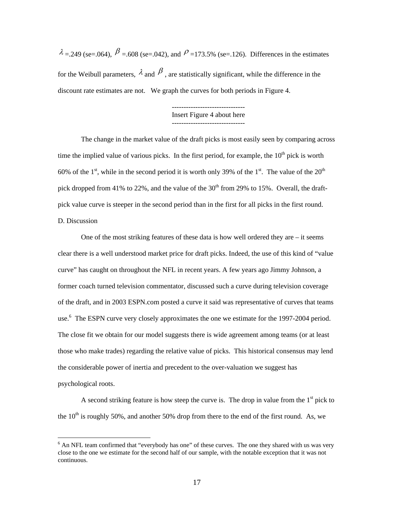$\lambda = 249$  (se=.064),  $\beta = 608$  (se=.042), and  $\beta = 173.5\%$  (se=.126). Differences in the estimates for the Weibull parameters,  $\lambda$  and  $\beta$ , are statistically significant, while the difference in the discount rate estimates are not. We graph the curves for both periods in Figure 4.

> ------------------------------- Insert Figure 4 about here -------------------------------

The change in the market value of the draft picks is most easily seen by comparing across time the implied value of various picks. In the first period, for example, the  $10<sup>th</sup>$  pick is worth 60% of the 1<sup>st</sup>, while in the second period it is worth only 39% of the 1<sup>st</sup>. The value of the 20<sup>th</sup> pick dropped from 41% to 22%, and the value of the  $30<sup>th</sup>$  from 29% to 15%. Overall, the draftpick value curve is steeper in the second period than in the first for all picks in the first round. D. Discussion

One of the most striking features of these data is how well ordered they are  $-$  it seems clear there is a well understood market price for draft picks. Indeed, the use of this kind of "value curve" has caught on throughout the NFL in recent years. A few years ago Jimmy Johnson, a former coach turned television commentator, discussed such a curve during television coverage of the draft, and in 2003 ESPN.com posted a curve it said was representative of curves that teams use.<sup>6</sup> The ESPN curve very closely approximates the one we estimate for the 1997-2004 period. The close fit we obtain for our model suggests there is wide agreement among teams (or at least those who make trades) regarding the relative value of picks. This historical consensus may lend the considerable power of inertia and precedent to the over-valuation we suggest has psychological roots.

A second striking feature is how steep the curve is. The drop in value from the  $1<sup>st</sup>$  pick to the  $10^{th}$  is roughly 50%, and another 50% drop from there to the end of the first round. As, we

 $\overline{a}$ 

<sup>&</sup>lt;sup>6</sup> An NFL team confirmed that "everybody has one" of these curves. The one they shared with us was very close to the one we estimate for the second half of our sample, with the notable exception that it was not continuous.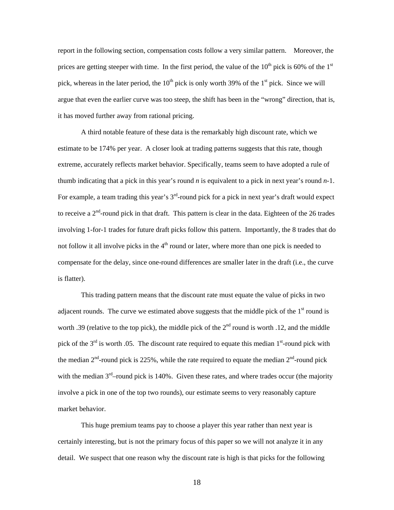report in the following section, compensation costs follow a very similar pattern. Moreover, the prices are getting steeper with time. In the first period, the value of the  $10^{th}$  pick is 60% of the  $1^{st}$ pick, whereas in the later period, the  $10<sup>th</sup>$  pick is only worth 39% of the 1<sup>st</sup> pick. Since we will argue that even the earlier curve was too steep, the shift has been in the "wrong" direction, that is, it has moved further away from rational pricing.

A third notable feature of these data is the remarkably high discount rate, which we estimate to be 174% per year. A closer look at trading patterns suggests that this rate, though extreme, accurately reflects market behavior. Specifically, teams seem to have adopted a rule of thumb indicating that a pick in this year's round *n* is equivalent to a pick in next year's round *n*-1. For example, a team trading this year's 3<sup>rd</sup>-round pick for a pick in next year's draft would expect to receive a  $2<sup>nd</sup>$ -round pick in that draft. This pattern is clear in the data. Eighteen of the 26 trades involving 1-for-1 trades for future draft picks follow this pattern. Importantly, the 8 trades that do not follow it all involve picks in the  $4<sup>th</sup>$  round or later, where more than one pick is needed to compensate for the delay, since one-round differences are smaller later in the draft (i.e., the curve is flatter).

This trading pattern means that the discount rate must equate the value of picks in two adjacent rounds. The curve we estimated above suggests that the middle pick of the  $1<sup>st</sup>$  round is worth .39 (relative to the top pick), the middle pick of the  $2<sup>nd</sup>$  round is worth .12, and the middle pick of the  $3<sup>rd</sup>$  is worth 0.05. The discount rate required to equate this median  $1<sup>st</sup>$ -round pick with the median  $2<sup>nd</sup>$ -round pick is 225%, while the rate required to equate the median  $2<sup>nd</sup>$ -round pick with the median  $3<sup>rd</sup>$ –round pick is 140%. Given these rates, and where trades occur (the majority involve a pick in one of the top two rounds), our estimate seems to very reasonably capture market behavior.

This huge premium teams pay to choose a player this year rather than next year is certainly interesting, but is not the primary focus of this paper so we will not analyze it in any detail. We suspect that one reason why the discount rate is high is that picks for the following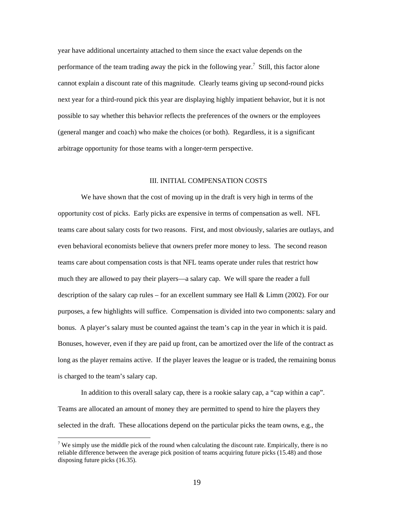year have additional uncertainty attached to them since the exact value depends on the performance of the team trading away the pick in the following year.<sup>7</sup> Still, this factor alone cannot explain a discount rate of this magnitude. Clearly teams giving up second-round picks next year for a third-round pick this year are displaying highly impatient behavior, but it is not possible to say whether this behavior reflects the preferences of the owners or the employees (general manger and coach) who make the choices (or both). Regardless, it is a significant arbitrage opportunity for those teams with a longer-term perspective.

### III. INITIAL COMPENSATION COSTS

We have shown that the cost of moving up in the draft is very high in terms of the opportunity cost of picks. Early picks are expensive in terms of compensation as well. NFL teams care about salary costs for two reasons. First, and most obviously, salaries are outlays, and even behavioral economists believe that owners prefer more money to less. The second reason teams care about compensation costs is that NFL teams operate under rules that restrict how much they are allowed to pay their players—a salary cap. We will spare the reader a full description of the salary cap rules – for an excellent summary see Hall & Limm (2002). For our purposes, a few highlights will suffice. Compensation is divided into two components: salary and bonus. A player's salary must be counted against the team's cap in the year in which it is paid. Bonuses, however, even if they are paid up front, can be amortized over the life of the contract as long as the player remains active. If the player leaves the league or is traded, the remaining bonus is charged to the team's salary cap.

In addition to this overall salary cap, there is a rookie salary cap, a "cap within a cap". Teams are allocated an amount of money they are permitted to spend to hire the players they selected in the draft. These allocations depend on the particular picks the team owns, e.g., the

 $\overline{a}$ 

<sup>&</sup>lt;sup>7</sup> We simply use the middle pick of the round when calculating the discount rate. Empirically, there is no reliable difference between the average pick position of teams acquiring future picks (15.48) and those disposing future picks (16.35).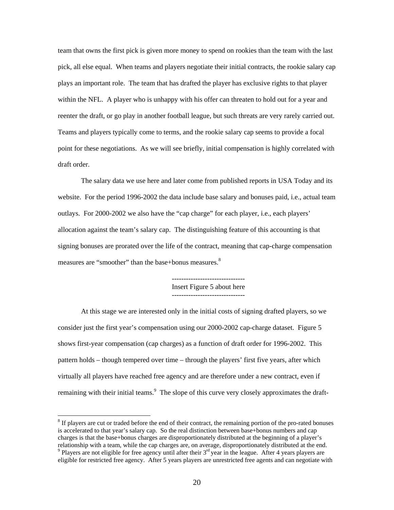team that owns the first pick is given more money to spend on rookies than the team with the last pick, all else equal. When teams and players negotiate their initial contracts, the rookie salary cap plays an important role. The team that has drafted the player has exclusive rights to that player within the NFL. A player who is unhappy with his offer can threaten to hold out for a year and reenter the draft, or go play in another football league, but such threats are very rarely carried out. Teams and players typically come to terms, and the rookie salary cap seems to provide a focal point for these negotiations. As we will see briefly, initial compensation is highly correlated with draft order.

The salary data we use here and later come from published reports in USA Today and its website. For the period 1996-2002 the data include base salary and bonuses paid, i.e., actual team outlays. For 2000-2002 we also have the "cap charge" for each player, i.e., each players' allocation against the team's salary cap. The distinguishing feature of this accounting is that signing bonuses are prorated over the life of the contract, meaning that cap-charge compensation measures are "smoother" than the base+bonus measures.<sup>8</sup>

> ------------------------------- Insert Figure 5 about here -------------------------------

At this stage we are interested only in the initial costs of signing drafted players, so we consider just the first year's compensation using our 2000-2002 cap-charge dataset. Figure 5 shows first-year compensation (cap charges) as a function of draft order for 1996-2002. This pattern holds – though tempered over time – through the players' first five years, after which virtually all players have reached free agency and are therefore under a new contract, even if remaining with their initial teams.<sup>9</sup> The slope of this curve very closely approximates the draft-

 $\overline{a}$ 

 $8$  If players are cut or traded before the end of their contract, the remaining portion of the pro-rated bonuses is accelerated to that year's salary cap. So the real distinction between base+bonus numbers and cap charges is that the base+bonus charges are disproportionately distributed at the beginning of a player's relationship with a team, while the cap charges are, on average, disproportionately distributed at the end.  $\degree$  Players are not eligible for free agency until after their  $3^{rd}$  year in the league. After 4 years players are eligible for restricted free agency. After 5 years players are unrestricted free agents and can negotiate with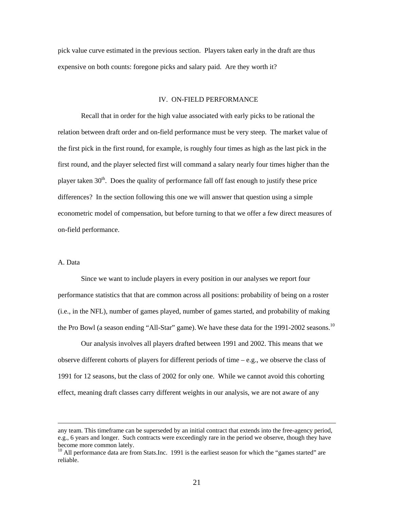pick value curve estimated in the previous section. Players taken early in the draft are thus expensive on both counts: foregone picks and salary paid. Are they worth it?

#### IV. ON-FIELD PERFORMANCE

Recall that in order for the high value associated with early picks to be rational the relation between draft order and on-field performance must be very steep. The market value of the first pick in the first round, for example, is roughly four times as high as the last pick in the first round, and the player selected first will command a salary nearly four times higher than the player taken  $30<sup>th</sup>$ . Does the quality of performance fall off fast enough to justify these price differences? In the section following this one we will answer that question using a simple econometric model of compensation, but before turning to that we offer a few direct measures of on-field performance.

### A. Data

Since we want to include players in every position in our analyses we report four performance statistics that that are common across all positions: probability of being on a roster (i.e., in the NFL), number of games played, number of games started, and probability of making the Pro Bowl (a season ending "All-Star" game). We have these data for the 1991-2002 seasons.<sup>10</sup>

Our analysis involves all players drafted between 1991 and 2002. This means that we observe different cohorts of players for different periods of time  $-e.g.,$  we observe the class of 1991 for 12 seasons, but the class of 2002 for only one. While we cannot avoid this cohorting effect, meaning draft classes carry different weights in our analysis, we are not aware of any

any team. This timeframe can be superseded by an initial contract that extends into the free-agency period, e.g., 6 years and longer. Such contracts were exceedingly rare in the period we observe, though they have become more common lately.

 $10$  All performance data are from Stats.Inc. 1991 is the earliest season for which the "games started" are reliable.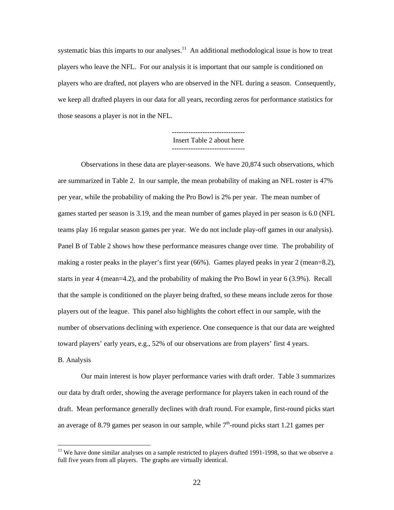systematic bias this imparts to our analyses.<sup>11</sup> An additional methodological issue is how to treat players who leave the NFL. For our analysis it is important that our sample is conditioned on players who are drafted, not players who are observed in the NFL during a season. Consequently, we keep all drafted players in our data for all years, recording zeros for performance statistics for those seasons a player is not in the NFL.

#### ------------------------------- Insert Table 2 about here -------------------------------

Observations in these data are player-seasons. We have 20,874 such observations, which are summarized in Table 2. In our sample, the mean probability of making an NFL roster is 47% per year, while the probability of making the Pro Bowl is 2% per year. The mean number of games started per season is 3.19, and the mean number of games played in per season is 6.0 (NFL teams play 16 regular season games per year. We do not include play-off games in our analysis). Panel B of Table 2 shows how these performance measures change over time. The probability of making a roster peaks in the player's first year (66%). Games played peaks in year 2 (mean=8.2), starts in year 4 (mean=4.2), and the probability of making the Pro Bowl in year 6 (3.9%). Recall that the sample is conditioned on the player being drafted, so these means include zeros for those players out of the league. This panel also highlights the cohort effect in our sample, with the number of observations declining with experience. One consequence is that our data are weighted toward players' early years, e.g., 52% of our observations are from players' first 4 years.

#### B. Analysis

 $\overline{a}$ 

Our main interest is how player performance varies with draft order. Table 3 summarizes our data by draft order, showing the average performance for players taken in each round of the draft. Mean performance generally declines with draft round. For example, first-round picks start an average of 8.79 games per season in our sample, while  $7<sup>th</sup>$ -round picks start 1.21 games per

 $11$  We have done similar analyses on a sample restricted to players drafted 1991-1998, so that we observe a full five years from all players. The graphs are virtually identical.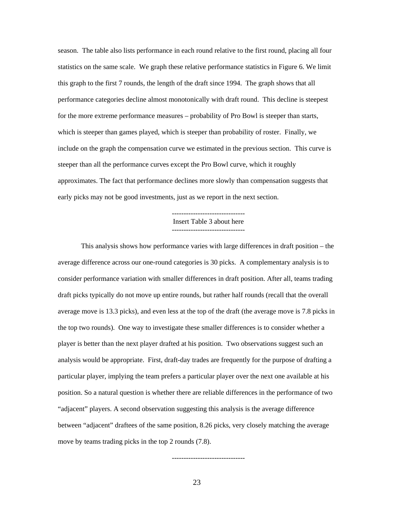season. The table also lists performance in each round relative to the first round, placing all four statistics on the same scale. We graph these relative performance statistics in Figure 6. We limit this graph to the first 7 rounds, the length of the draft since 1994. The graph shows that all performance categories decline almost monotonically with draft round. This decline is steepest for the more extreme performance measures – probability of Pro Bowl is steeper than starts, which is steeper than games played, which is steeper than probability of roster. Finally, we include on the graph the compensation curve we estimated in the previous section. This curve is steeper than all the performance curves except the Pro Bowl curve, which it roughly approximates. The fact that performance declines more slowly than compensation suggests that early picks may not be good investments, just as we report in the next section.

#### ------------------------------- Insert Table 3 about here -------------------------------

This analysis shows how performance varies with large differences in draft position – the average difference across our one-round categories is 30 picks. A complementary analysis is to consider performance variation with smaller differences in draft position. After all, teams trading draft picks typically do not move up entire rounds, but rather half rounds (recall that the overall average move is 13.3 picks), and even less at the top of the draft (the average move is 7.8 picks in the top two rounds). One way to investigate these smaller differences is to consider whether a player is better than the next player drafted at his position. Two observations suggest such an analysis would be appropriate. First, draft-day trades are frequently for the purpose of drafting a particular player, implying the team prefers a particular player over the next one available at his position. So a natural question is whether there are reliable differences in the performance of two "adjacent" players. A second observation suggesting this analysis is the average difference between "adjacent" draftees of the same position, 8.26 picks, very closely matching the average move by teams trading picks in the top 2 rounds (7.8).

23

-------------------------------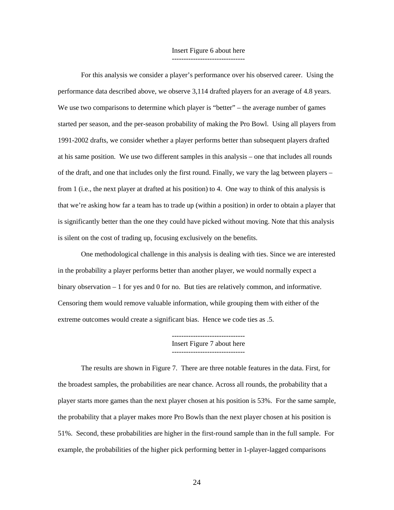#### Insert Figure 6 about here -------------------------------

For this analysis we consider a player's performance over his observed career. Using the performance data described above, we observe 3,114 drafted players for an average of 4.8 years. We use two comparisons to determine which player is "better" – the average number of games started per season, and the per-season probability of making the Pro Bowl. Using all players from 1991-2002 drafts, we consider whether a player performs better than subsequent players drafted at his same position. We use two different samples in this analysis – one that includes all rounds of the draft, and one that includes only the first round. Finally, we vary the lag between players – from 1 (i.e., the next player at drafted at his position) to 4. One way to think of this analysis is that we're asking how far a team has to trade up (within a position) in order to obtain a player that is significantly better than the one they could have picked without moving. Note that this analysis is silent on the cost of trading up, focusing exclusively on the benefits.

One methodological challenge in this analysis is dealing with ties. Since we are interested in the probability a player performs better than another player, we would normally expect a binary observation – 1 for yes and 0 for no. But ties are relatively common, and informative. Censoring them would remove valuable information, while grouping them with either of the extreme outcomes would create a significant bias. Hence we code ties as .5.

> ------------------------------- Insert Figure 7 about here -------------------------------

The results are shown in Figure 7. There are three notable features in the data. First, for the broadest samples, the probabilities are near chance. Across all rounds, the probability that a player starts more games than the next player chosen at his position is 53%. For the same sample, the probability that a player makes more Pro Bowls than the next player chosen at his position is 51%. Second, these probabilities are higher in the first-round sample than in the full sample. For example, the probabilities of the higher pick performing better in 1-player-lagged comparisons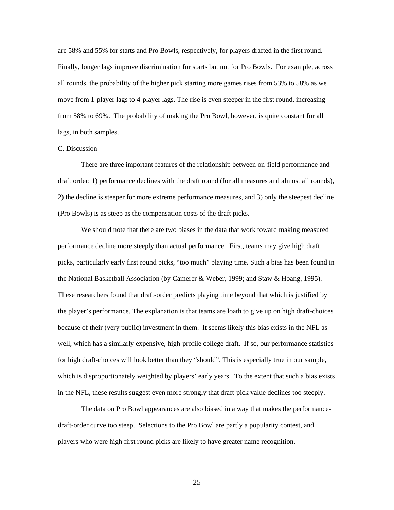are 58% and 55% for starts and Pro Bowls, respectively, for players drafted in the first round. Finally, longer lags improve discrimination for starts but not for Pro Bowls. For example, across all rounds, the probability of the higher pick starting more games rises from 53% to 58% as we move from 1-player lags to 4-player lags. The rise is even steeper in the first round, increasing from 58% to 69%. The probability of making the Pro Bowl, however, is quite constant for all lags, in both samples.

### C. Discussion

There are three important features of the relationship between on-field performance and draft order: 1) performance declines with the draft round (for all measures and almost all rounds), 2) the decline is steeper for more extreme performance measures, and 3) only the steepest decline (Pro Bowls) is as steep as the compensation costs of the draft picks.

We should note that there are two biases in the data that work toward making measured performance decline more steeply than actual performance. First, teams may give high draft picks, particularly early first round picks, "too much" playing time. Such a bias has been found in the National Basketball Association (by Camerer & Weber, 1999; and Staw & Hoang, 1995). These researchers found that draft-order predicts playing time beyond that which is justified by the player's performance. The explanation is that teams are loath to give up on high draft-choices because of their (very public) investment in them. It seems likely this bias exists in the NFL as well, which has a similarly expensive, high-profile college draft. If so, our performance statistics for high draft-choices will look better than they "should". This is especially true in our sample, which is disproportionately weighted by players' early years. To the extent that such a bias exists in the NFL, these results suggest even more strongly that draft-pick value declines too steeply.

The data on Pro Bowl appearances are also biased in a way that makes the performancedraft-order curve too steep. Selections to the Pro Bowl are partly a popularity contest, and players who were high first round picks are likely to have greater name recognition.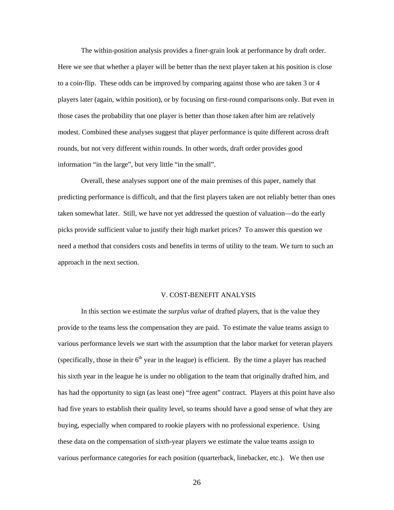The within-position analysis provides a finer-grain look at performance by draft order. Here we see that whether a player will be better than the next player taken at his position is close to a coin-flip. These odds can be improved by comparing against those who are taken 3 or 4 players later (again, within position), or by focusing on first-round comparisons only. But even in those cases the probability that one player is better than those taken after him are relatively modest. Combined these analyses suggest that player performance is quite different across draft rounds, but not very different within rounds. In other words, draft order provides good information "in the large", but very little "in the small".

Overall, these analyses support one of the main premises of this paper, namely that predicting performance is difficult, and that the first players taken are not reliably better than ones taken somewhat later. Still, we have not yet addressed the question of valuation—do the early picks provide sufficient value to justify their high market prices? To answer this question we need a method that considers costs and benefits in terms of utility to the team. We turn to such an approach in the next section.

#### V. COST-BENEFIT ANALYSIS

In this section we estimate the *surplus value* of drafted players, that is the value they provide to the teams less the compensation they are paid. To estimate the value teams assign to various performance levels we start with the assumption that the labor market for veteran players (specifically, those in their  $6<sup>th</sup>$  year in the league) is efficient. By the time a player has reached his sixth year in the league he is under no obligation to the team that originally drafted him, and has had the opportunity to sign (as least one) "free agent" contract. Players at this point have also had five years to establish their quality level, so teams should have a good sense of what they are buying, especially when compared to rookie players with no professional experience. Using these data on the compensation of sixth-year players we estimate the value teams assign to various performance categories for each position (quarterback, linebacker, etc.). We then use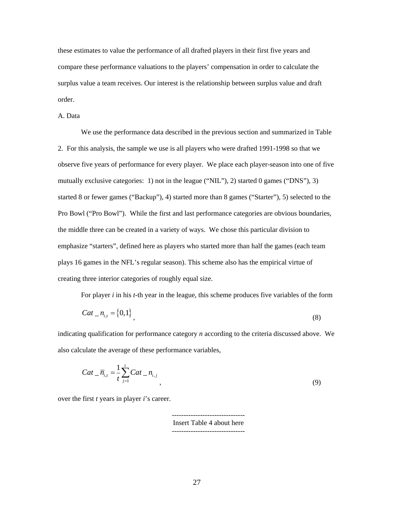these estimates to value the performance of all drafted players in their first five years and compare these performance valuations to the players' compensation in order to calculate the surplus value a team receives. Our interest is the relationship between surplus value and draft order.

A. Data

We use the performance data described in the previous section and summarized in Table 2. For this analysis, the sample we use is all players who were drafted 1991-1998 so that we observe five years of performance for every player. We place each player-season into one of five mutually exclusive categories: 1) not in the league ("NIL"), 2) started 0 games ("DNS"), 3) started 8 or fewer games ("Backup"), 4) started more than 8 games ("Starter"), 5) selected to the Pro Bowl ("Pro Bowl"). While the first and last performance categories are obvious boundaries, the middle three can be created in a variety of ways. We chose this particular division to emphasize "starters", defined here as players who started more than half the games (each team plays 16 games in the NFL's regular season). This scheme also has the empirical virtue of creating three interior categories of roughly equal size.

For player *i* in his *t*-th year in the league, this scheme produces five variables of the form

$$
Cat_{-}n_{i,t} = \{0,1\},\tag{8}
$$

indicating qualification for performance category *n* according to the criteria discussed above. We also calculate the average of these performance variables,

$$
Cat_{-} \overline{n}_{i,t} = \frac{1}{t} \sum_{j=1}^{t} Cat_{-} n_{i,j}, \qquad (9)
$$

over the first *t* years in player *i*'s career.

------------------------------- Insert Table 4 about here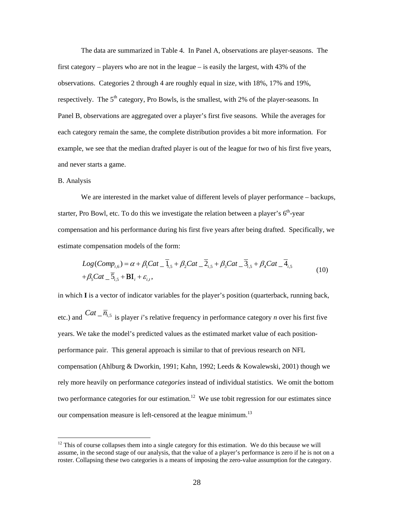The data are summarized in Table 4. In Panel A, observations are player-seasons. The first category – players who are not in the league – is easily the largest, with 43% of the observations. Categories 2 through 4 are roughly equal in size, with 18%, 17% and 19%, respectively. The  $5<sup>th</sup>$  category, Pro Bowls, is the smallest, with 2% of the player-seasons. In Panel B, observations are aggregated over a player's first five seasons. While the averages for each category remain the same, the complete distribution provides a bit more information. For example, we see that the median drafted player is out of the league for two of his first five years, and never starts a game.

#### B. Analysis

 $\overline{a}$ 

We are interested in the market value of different levels of player performance – backups, starter, Pro Bowl, etc. To do this we investigate the relation between a player's  $6<sup>th</sup>$ -year compensation and his performance during his first five years after being drafted. Specifically, we estimate compensation models of the form:

$$
Log(Comp_{i,6}) = \alpha + \beta_1 Cat_{i,5} + \beta_2 Cat_{i,5} + \beta_3 Cat_{i,5} + \beta_4 Cat_{i,5} + \beta_5 Cat_{i,5} + \beta_6 Cat_{i,5}
$$
  
+  $\beta_5 Cat_{i,5} + BI_i + \varepsilon_{i,t}$ , (10)

in which **I** is a vector of indicator variables for the player's position (quarterback, running back, etc.) and  $Cat - \overline{n}_{i,5}$  is player *i*'s relative frequency in performance category *n* over his first five years. We take the model's predicted values as the estimated market value of each positionperformance pair. This general approach is similar to that of previous research on NFL compensation (Ahlburg & Dworkin, 1991; Kahn, 1992; Leeds & Kowalewski, 2001) though we rely more heavily on performance *categories* instead of individual statistics. We omit the bottom two performance categories for our estimation.<sup>12</sup> We use tobit regression for our estimates since our compensation measure is left-censored at the league minimum.<sup>13</sup>

 $12$  This of course collapses them into a single category for this estimation. We do this because we will assume, in the second stage of our analysis, that the value of a player's performance is zero if he is not on a roster. Collapsing these two categories is a means of imposing the zero-value assumption for the category.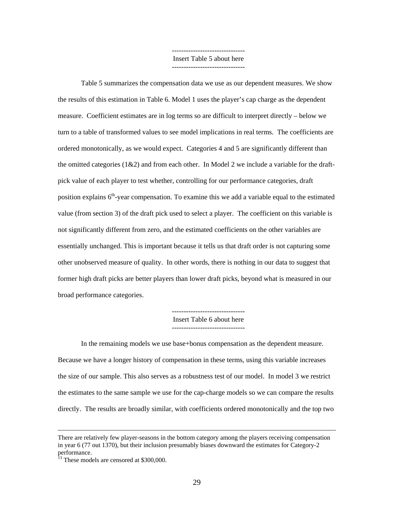------------------------------- Insert Table 5 about here -------------------------------

Table 5 summarizes the compensation data we use as our dependent measures. We show the results of this estimation in Table 6. Model 1 uses the player's cap charge as the dependent measure. Coefficient estimates are in log terms so are difficult to interpret directly – below we turn to a table of transformed values to see model implications in real terms. The coefficients are ordered monotonically, as we would expect. Categories 4 and 5 are significantly different than the omitted categories  $(1\&2)$  and from each other. In Model 2 we include a variable for the draftpick value of each player to test whether, controlling for our performance categories, draft position explains  $6<sup>th</sup>$ -year compensation. To examine this we add a variable equal to the estimated value (from section 3) of the draft pick used to select a player. The coefficient on this variable is not significantly different from zero, and the estimated coefficients on the other variables are essentially unchanged. This is important because it tells us that draft order is not capturing some other unobserved measure of quality. In other words, there is nothing in our data to suggest that former high draft picks are better players than lower draft picks, beyond what is measured in our broad performance categories.

> ------------------------------- Insert Table 6 about here -------------------------------

In the remaining models we use base+bonus compensation as the dependent measure. Because we have a longer history of compensation in these terms, using this variable increases the size of our sample. This also serves as a robustness test of our model. In model 3 we restrict the estimates to the same sample we use for the cap-charge models so we can compare the results directly. The results are broadly similar, with coefficients ordered monotonically and the top two

There are relatively few player-seasons in the bottom category among the players receiving compensation in year 6 (77 out 1370), but their inclusion presumably biases downward the estimates for Category-2 performance.

<sup>&</sup>lt;sup>13</sup> These models are censored at \$300,000.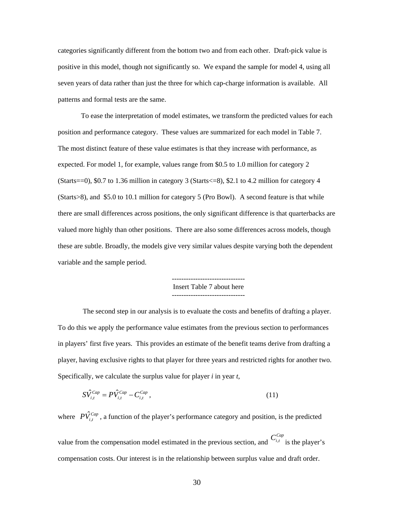categories significantly different from the bottom two and from each other. Draft-pick value is positive in this model, though not significantly so. We expand the sample for model 4, using all seven years of data rather than just the three for which cap-charge information is available. All patterns and formal tests are the same.

To ease the interpretation of model estimates, we transform the predicted values for each position and performance category. These values are summarized for each model in Table 7. The most distinct feature of these value estimates is that they increase with performance, as expected. For model 1, for example, values range from \$0.5 to 1.0 million for category 2 (Starts==0), \$0.7 to 1.36 million in category 3 (Starts<=8), \$2.1 to 4.2 million for category 4 (Starts>8), and \$5.0 to 10.1 million for category 5 (Pro Bowl). A second feature is that while there are small differences across positions, the only significant difference is that quarterbacks are valued more highly than other positions. There are also some differences across models, though these are subtle. Broadly, the models give very similar values despite varying both the dependent variable and the sample period.

> ------------------------------- Insert Table 7 about here -------------------------------

 The second step in our analysis is to evaluate the costs and benefits of drafting a player. To do this we apply the performance value estimates from the previous section to performances in players' first five years. This provides an estimate of the benefit teams derive from drafting a player, having exclusive rights to that player for three years and restricted rights for another two. Specifically, we calculate the surplus value for player *i* in year *t*,

$$
S\hat{V}_{i,t}^{Cap} = P\hat{V}_{i,t}^{Cap} - C_{i,t}^{Cap} \,,\tag{11}
$$

where  $P\hat{V}_{i,t}^{Cap}$ , a function of the player's performance category and position, is the predicted value from the compensation model estimated in the previous section, and  $C_{i,t}^{Cap}$  is the player's compensation costs. Our interest is in the relationship between surplus value and draft order.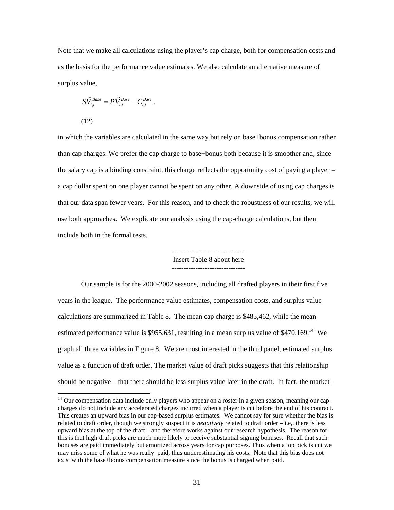Note that we make all calculations using the player's cap charge, both for compensation costs and as the basis for the performance value estimates. We also calculate an alternative measure of surplus value,

$$
S\hat{V}_{i,t}^{Base} = P\hat{V}_{i,t}^{Base} - C_{i,t}^{Base},
$$
\n(12)

 $\overline{a}$ 

in which the variables are calculated in the same way but rely on base+bonus compensation rather than cap charges. We prefer the cap charge to base+bonus both because it is smoother and, since the salary cap is a binding constraint, this charge reflects the opportunity cost of paying a player – a cap dollar spent on one player cannot be spent on any other. A downside of using cap charges is that our data span fewer years. For this reason, and to check the robustness of our results, we will use both approaches. We explicate our analysis using the cap-charge calculations, but then include both in the formal tests.



Our sample is for the 2000-2002 seasons, including all drafted players in their first five years in the league. The performance value estimates, compensation costs, and surplus value calculations are summarized in Table 8. The mean cap charge is \$485,462, while the mean estimated performance value is \$955,631, resulting in a mean surplus value of \$470,169.<sup>14</sup> We graph all three variables in Figure 8. We are most interested in the third panel, estimated surplus value as a function of draft order. The market value of draft picks suggests that this relationship should be negative – that there should be less surplus value later in the draft. In fact, the market-

<sup>&</sup>lt;sup>14</sup> Our compensation data include only players who appear on a roster in a given season, meaning our cap charges do not include any accelerated charges incurred when a player is cut before the end of his contract. This creates an upward bias in our cap-based surplus estimates. We cannot say for sure whether the bias is related to draft order, though we strongly suspect it is *negatively* related to draft order – i.e,. there is less upward bias at the top of the draft – and therefore works against our research hypothesis. The reason for this is that high draft picks are much more likely to receive substantial signing bonuses. Recall that such bonuses are paid immediately but amortized across years for cap purposes. Thus when a top pick is cut we may miss some of what he was really paid, thus underestimating his costs. Note that this bias does not exist with the base+bonus compensation measure since the bonus is charged when paid.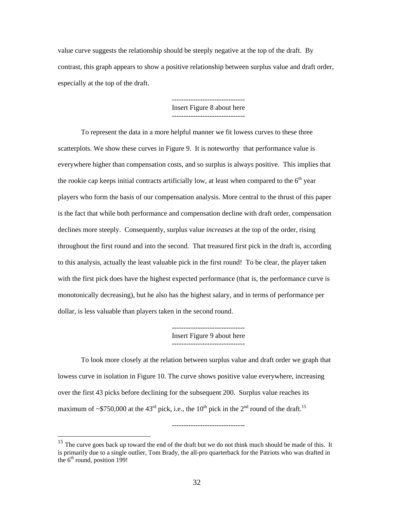value curve suggests the relationship should be steeply negative at the top of the draft. By contrast, this graph appears to show a positive relationship between surplus value and draft order, especially at the top of the draft.

> ------------------------------- Insert Figure 8 about here

To represent the data in a more helpful manner we fit lowess curves to these three scatterplots. We show these curves in Figure 9. It is noteworthy that performance value is everywhere higher than compensation costs, and so surplus is always positive. This implies that the rookie cap keeps initial contracts artificially low, at least when compared to the  $6<sup>th</sup>$  year players who form the basis of our compensation analysis. More central to the thrust of this paper is the fact that while both performance and compensation decline with draft order, compensation declines more steeply. Consequently, surplus value *increases* at the top of the order, rising throughout the first round and into the second. That treasured first pick in the draft is, according to this analysis, actually the least valuable pick in the first round! To be clear, the player taken with the first pick does have the highest expected performance (that is, the performance curve is monotonically decreasing), but he also has the highest salary, and in terms of performance per dollar, is less valuable than players taken in the second round.

> ------------------------------- Insert Figure 9 about here -------------------------------

-------------------------------

To look more closely at the relation between surplus value and draft order we graph that lowess curve in isolation in Figure 10. The curve shows positive value everywhere, increasing over the first 43 picks before declining for the subsequent 200. Surplus value reaches its maximum of ~\$750,000 at the 43<sup>rd</sup> pick, i.e., the 10<sup>th</sup> pick in the 2<sup>nd</sup> round of the draft.<sup>15</sup>

 $\overline{a}$ 

 $15$  The curve goes back up toward the end of the draft but we do not think much should be made of this. It is primarily due to a single outlier, Tom Brady, the all-pro quarterback for the Patriots who was drafted in the  $6<sup>th</sup>$  round, position 199!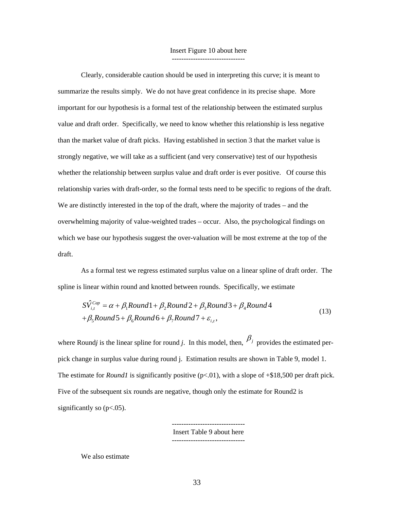#### Insert Figure 10 about here -------------------------------

Clearly, considerable caution should be used in interpreting this curve; it is meant to summarize the results simply. We do not have great confidence in its precise shape. More important for our hypothesis is a formal test of the relationship between the estimated surplus value and draft order. Specifically, we need to know whether this relationship is less negative than the market value of draft picks. Having established in section 3 that the market value is strongly negative, we will take as a sufficient (and very conservative) test of our hypothesis whether the relationship between surplus value and draft order is ever positive. Of course this relationship varies with draft-order, so the formal tests need to be specific to regions of the draft. We are distinctly interested in the top of the draft, where the majority of trades – and the overwhelming majority of value-weighted trades – occur. Also, the psychological findings on which we base our hypothesis suggest the over-valuation will be most extreme at the top of the draft.

As a formal test we regress estimated surplus value on a linear spline of draft order. The spline is linear within round and knotted between rounds. Specifically, we estimate

$$
S\hat{V}_{i,t}^{Cap} = \alpha + \beta_1 Round1 + \beta_2 Round2 + \beta_3 Round3 + \beta_4 Round4
$$
  
+  $\beta_5 Round5 + \beta_6 Round6 + \beta_7 Round7 + \varepsilon_{i,t}$ , (13)

where Round*j* is the linear spline for round *j*. In this model, then,  $\beta_j$  provides the estimated perpick change in surplus value during round j. Estimation results are shown in Table 9, model 1. The estimate for *Round1* is significantly positive (p<.01), with a slope of +\$18,500 per draft pick. Five of the subsequent six rounds are negative, though only the estimate for Round2 is significantly so  $(p<.05)$ .

> Insert Table 9 about here -------------------------------

-------------------------------

We also estimate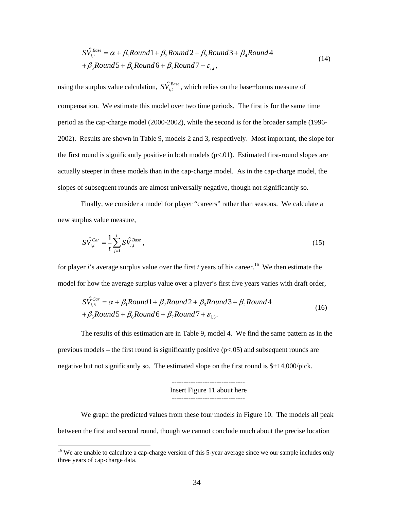$$
S\hat{V}_{i,t}^{Base} = \alpha + \beta_1 Round1 + \beta_2 Round2 + \beta_3 Round3 + \beta_4 Round4
$$
  
+  $\beta_5 Round5 + \beta_6 Round6 + \beta_7 Round7 + \varepsilon_{i,t}$ , (14)

using the surplus value calculation,  $S\hat{V}^{Base}_{i,t}$ , which relies on the base+bonus measure of compensation. We estimate this model over two time periods. The first is for the same time period as the cap-charge model (2000-2002), while the second is for the broader sample (1996- 2002). Results are shown in Table 9, models 2 and 3, respectively. Most important, the slope for the first round is significantly positive in both models  $(p<0.01)$ . Estimated first-round slopes are actually steeper in these models than in the cap-charge model. As in the cap-charge model, the slopes of subsequent rounds are almost universally negative, though not significantly so.

Finally, we consider a model for player "careers" rather than seasons. We calculate a new surplus value measure,

$$
S\hat{V}_{i,t}^{Car} = \frac{1}{t} \sum_{j=1}^{t} S\hat{V}_{i,t}^{Base} , \qquad (15)
$$

for player *i*'s average surplus value over the first *t* years of his career.<sup>16</sup> We then estimate the model for how the average surplus value over a player's first five years varies with draft order,

$$
S\hat{V}_{i,5}^{Car} = \alpha + \beta_1 Round1 + \beta_2 Round2 + \beta_3 Round3 + \beta_4 Round4
$$
  
+  $\beta_5 Round5 + \beta_6 Round6 + \beta_7 Round7 + \varepsilon_{i,5}$ . (16)

The results of this estimation are in Table 9, model 4. We find the same pattern as in the previous models – the first round is significantly positive  $(p<0.05)$  and subsequent rounds are negative but not significantly so. The estimated slope on the first round is  $\frac{1}{4}$ ,000/pick.

> ------------------------------- Insert Figure 11 about here -------------------------------

We graph the predicted values from these four models in Figure 10. The models all peak between the first and second round, though we cannot conclude much about the precise location

 $\overline{a}$ 

<sup>&</sup>lt;sup>16</sup> We are unable to calculate a cap-charge version of this 5-year average since we our sample includes only three years of cap-charge data.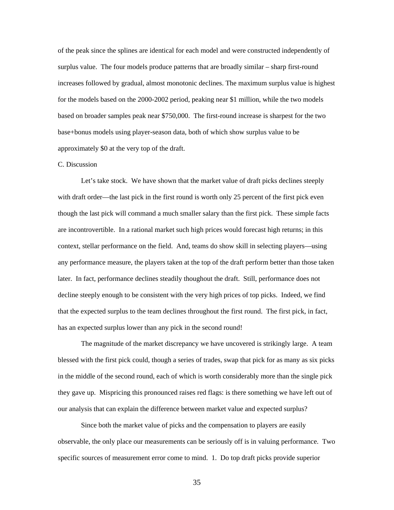of the peak since the splines are identical for each model and were constructed independently of surplus value. The four models produce patterns that are broadly similar – sharp first-round increases followed by gradual, almost monotonic declines. The maximum surplus value is highest for the models based on the 2000-2002 period, peaking near \$1 million, while the two models based on broader samples peak near \$750,000. The first-round increase is sharpest for the two base+bonus models using player-season data, both of which show surplus value to be approximately \$0 at the very top of the draft.

#### C. Discussion

Let's take stock. We have shown that the market value of draft picks declines steeply with draft order—the last pick in the first round is worth only 25 percent of the first pick even though the last pick will command a much smaller salary than the first pick. These simple facts are incontrovertible. In a rational market such high prices would forecast high returns; in this context, stellar performance on the field. And, teams do show skill in selecting players—using any performance measure, the players taken at the top of the draft perform better than those taken later. In fact, performance declines steadily thoughout the draft. Still, performance does not decline steeply enough to be consistent with the very high prices of top picks. Indeed, we find that the expected surplus to the team declines throughout the first round. The first pick, in fact, has an expected surplus lower than any pick in the second round!

The magnitude of the market discrepancy we have uncovered is strikingly large. A team blessed with the first pick could, though a series of trades, swap that pick for as many as six picks in the middle of the second round, each of which is worth considerably more than the single pick they gave up. Mispricing this pronounced raises red flags: is there something we have left out of our analysis that can explain the difference between market value and expected surplus?

Since both the market value of picks and the compensation to players are easily observable, the only place our measurements can be seriously off is in valuing performance. Two specific sources of measurement error come to mind. 1. Do top draft picks provide superior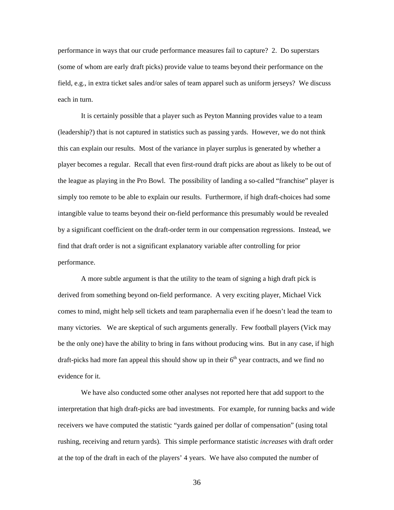performance in ways that our crude performance measures fail to capture? 2. Do superstars (some of whom are early draft picks) provide value to teams beyond their performance on the field, e.g., in extra ticket sales and/or sales of team apparel such as uniform jerseys? We discuss each in turn.

It is certainly possible that a player such as Peyton Manning provides value to a team (leadership?) that is not captured in statistics such as passing yards. However, we do not think this can explain our results. Most of the variance in player surplus is generated by whether a player becomes a regular. Recall that even first-round draft picks are about as likely to be out of the league as playing in the Pro Bowl. The possibility of landing a so-called "franchise" player is simply too remote to be able to explain our results. Furthermore, if high draft-choices had some intangible value to teams beyond their on-field performance this presumably would be revealed by a significant coefficient on the draft-order term in our compensation regressions. Instead, we find that draft order is not a significant explanatory variable after controlling for prior performance.

A more subtle argument is that the utility to the team of signing a high draft pick is derived from something beyond on-field performance. A very exciting player, Michael Vick comes to mind, might help sell tickets and team paraphernalia even if he doesn't lead the team to many victories. We are skeptical of such arguments generally. Few football players (Vick may be the only one) have the ability to bring in fans without producing wins. But in any case, if high draft-picks had more fan appeal this should show up in their  $6<sup>th</sup>$  year contracts, and we find no evidence for it.

We have also conducted some other analyses not reported here that add support to the interpretation that high draft-picks are bad investments. For example, for running backs and wide receivers we have computed the statistic "yards gained per dollar of compensation" (using total rushing, receiving and return yards). This simple performance statistic *increases* with draft order at the top of the draft in each of the players' 4 years. We have also computed the number of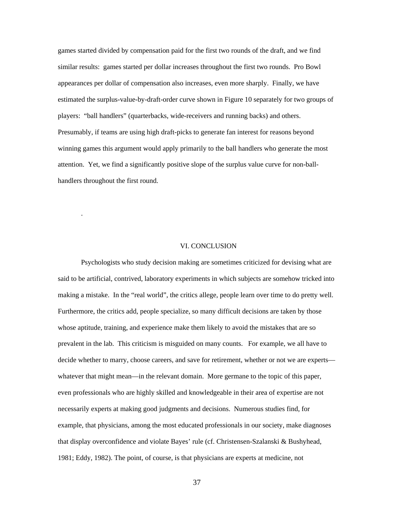games started divided by compensation paid for the first two rounds of the draft, and we find similar results: games started per dollar increases throughout the first two rounds. Pro Bowl appearances per dollar of compensation also increases, even more sharply. Finally, we have estimated the surplus-value-by-draft-order curve shown in Figure 10 separately for two groups of players: "ball handlers" (quarterbacks, wide-receivers and running backs) and others. Presumably, if teams are using high draft-picks to generate fan interest for reasons beyond winning games this argument would apply primarily to the ball handlers who generate the most attention. Yet, we find a significantly positive slope of the surplus value curve for non-ballhandlers throughout the first round.

#### VI. CONCLUSION

.

Psychologists who study decision making are sometimes criticized for devising what are said to be artificial, contrived, laboratory experiments in which subjects are somehow tricked into making a mistake. In the "real world", the critics allege, people learn over time to do pretty well. Furthermore, the critics add, people specialize, so many difficult decisions are taken by those whose aptitude, training, and experience make them likely to avoid the mistakes that are so prevalent in the lab. This criticism is misguided on many counts. For example, we all have to decide whether to marry, choose careers, and save for retirement, whether or not we are experts whatever that might mean—in the relevant domain. More germane to the topic of this paper, even professionals who are highly skilled and knowledgeable in their area of expertise are not necessarily experts at making good judgments and decisions. Numerous studies find, for example, that physicians, among the most educated professionals in our society, make diagnoses that display overconfidence and violate Bayes' rule (cf. Christensen-Szalanski & Bushyhead, 1981; Eddy, 1982). The point, of course, is that physicians are experts at medicine, not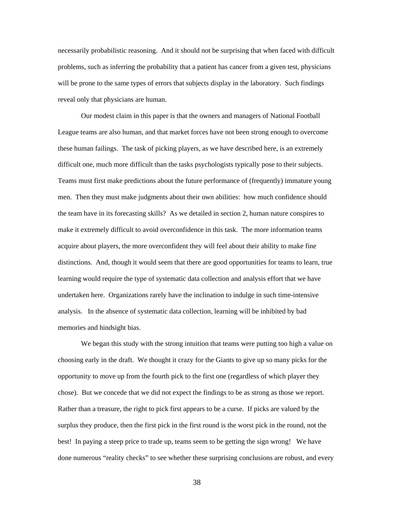necessarily probabilistic reasoning. And it should not be surprising that when faced with difficult problems, such as inferring the probability that a patient has cancer from a given test, physicians will be prone to the same types of errors that subjects display in the laboratory. Such findings reveal only that physicians are human.

Our modest claim in this paper is that the owners and managers of National Football League teams are also human, and that market forces have not been strong enough to overcome these human failings. The task of picking players, as we have described here, is an extremely difficult one, much more difficult than the tasks psychologists typically pose to their subjects. Teams must first make predictions about the future performance of (frequently) immature young men. Then they must make judgments about their own abilities: how much confidence should the team have in its forecasting skills? As we detailed in section 2, human nature conspires to make it extremely difficult to avoid overconfidence in this task. The more information teams acquire about players, the more overconfident they will feel about their ability to make fine distinctions. And, though it would seem that there are good opportunities for teams to learn, true learning would require the type of systematic data collection and analysis effort that we have undertaken here. Organizations rarely have the inclination to indulge in such time-intensive analysis. In the absence of systematic data collection, learning will be inhibited by bad memories and hindsight bias.

We began this study with the strong intuition that teams were putting too high a value on choosing early in the draft. We thought it crazy for the Giants to give up so many picks for the opportunity to move up from the fourth pick to the first one (regardless of which player they chose). But we concede that we did not expect the findings to be as strong as those we report. Rather than a treasure, the right to pick first appears to be a curse. If picks are valued by the surplus they produce, then the first pick in the first round is the worst pick in the round, not the best! In paying a steep price to trade up, teams seem to be getting the sign wrong! We have done numerous "reality checks" to see whether these surprising conclusions are robust, and every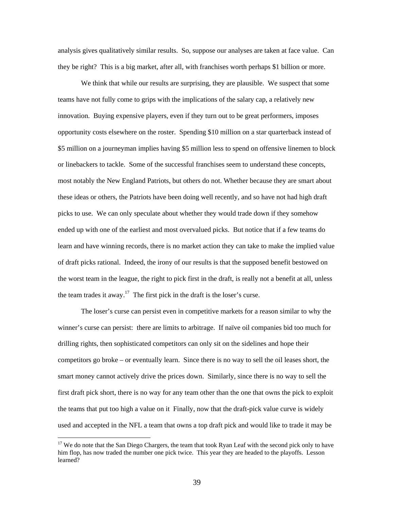analysis gives qualitatively similar results. So, suppose our analyses are taken at face value. Can they be right? This is a big market, after all, with franchises worth perhaps \$1 billion or more.

We think that while our results are surprising, they are plausible. We suspect that some teams have not fully come to grips with the implications of the salary cap, a relatively new innovation. Buying expensive players, even if they turn out to be great performers, imposes opportunity costs elsewhere on the roster. Spending \$10 million on a star quarterback instead of \$5 million on a journeyman implies having \$5 million less to spend on offensive linemen to block or linebackers to tackle. Some of the successful franchises seem to understand these concepts, most notably the New England Patriots, but others do not. Whether because they are smart about these ideas or others, the Patriots have been doing well recently, and so have not had high draft picks to use. We can only speculate about whether they would trade down if they somehow ended up with one of the earliest and most overvalued picks. But notice that if a few teams do learn and have winning records, there is no market action they can take to make the implied value of draft picks rational. Indeed, the irony of our results is that the supposed benefit bestowed on the worst team in the league, the right to pick first in the draft, is really not a benefit at all, unless the team trades it away.<sup>17</sup> The first pick in the draft is the loser's curse.

The loser's curse can persist even in competitive markets for a reason similar to why the winner's curse can persist: there are limits to arbitrage. If naïve oil companies bid too much for drilling rights, then sophisticated competitors can only sit on the sidelines and hope their competitors go broke – or eventually learn. Since there is no way to sell the oil leases short, the smart money cannot actively drive the prices down. Similarly, since there is no way to sell the first draft pick short, there is no way for any team other than the one that owns the pick to exploit the teams that put too high a value on it Finally, now that the draft-pick value curve is widely used and accepted in the NFL a team that owns a top draft pick and would like to trade it may be

 $\overline{a}$ 

<sup>&</sup>lt;sup>17</sup> We do note that the San Diego Chargers, the team that took Ryan Leaf with the second pick only to have him flop, has now traded the number one pick twice. This year they are headed to the playoffs. Lesson learned?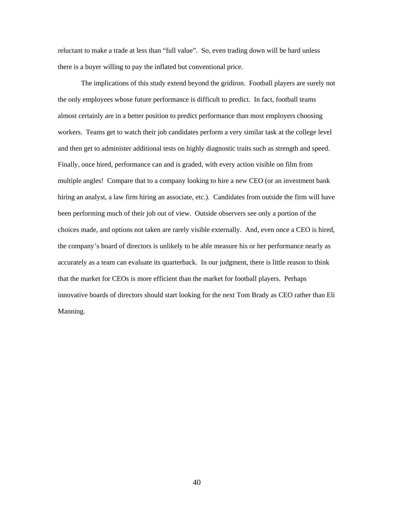reluctant to make a trade at less than "full value". So, even trading down will be hard unless there is a buyer willing to pay the inflated but conventional price.

The implications of this study extend beyond the gridiron. Football players are surely not the only employees whose future performance is difficult to predict. In fact, football teams almost certainly are in a better position to predict performance than most employers choosing workers. Teams get to watch their job candidates perform a very similar task at the college level and then get to administer additional tests on highly diagnostic traits such as strength and speed. Finally, once hired, performance can and is graded, with every action visible on film from multiple angles! Compare that to a company looking to hire a new CEO (or an investment bank hiring an analyst, a law firm hiring an associate, etc.). Candidates from outside the firm will have been performing much of their job out of view. Outside observers see only a portion of the choices made, and options not taken are rarely visible externally. And, even once a CEO is hired, the company's board of directors is unlikely to be able measure his or her performance nearly as accurately as a team can evaluate its quarterback. In our judgment, there is little reason to think that the market for CEOs is more efficient than the market for football players. Perhaps innovative boards of directors should start looking for the next Tom Brady as CEO rather than Eli Manning.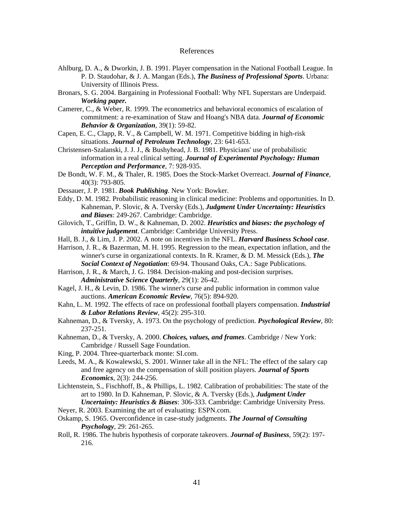#### References

- Ahlburg, D. A., & Dworkin, J. B. 1991. Player compensation in the National Football League. In P. D. Staudohar, & J. A. Mangan (Eds.), *The Business of Professional Sports*. Urbana: University of Illinois Press.
- Bronars, S. G. 2004. Bargaining in Professional Football: Why NFL Superstars are Underpaid. *Working paper.*
- Camerer, C., & Weber, R. 1999. The econometrics and behavioral economics of escalation of commitment: a re-examination of Staw and Hoang's NBA data. *Journal of Economic Behavior & Organization*, 39(1): 59-82.
- Capen, E. C., Clapp, R. V., & Campbell, W. M. 1971. Competitive bidding in high-risk situations. *Journal of Petroleum Technology*, 23: 641-653.
- Christensen-Szalanski, J. J. J., & Bushyhead, J. B. 1981. Physicians' use of probabilistic information in a real clinical setting. *Journal of Experimental Psychology: Human Perception and Performance*, 7: 928-935.
- De Bondt, W. F. M., & Thaler, R. 1985. Does the Stock-Market Overreact. *Journal of Finance*, 40(3): 793-805.
- Dessauer, J. P. 1981. *Book Publishing*. New York: Bowker.
- Eddy, D. M. 1982. Probabilistic reasoning in clinical medicine: Problems and opportunities. In D. Kahneman, P. Slovic, & A. Tversky (Eds.), *Judgment Under Uncertainty: Heuristics and Biases*: 249-267. Cambridge: Cambridge.
- Gilovich, T., Griffin, D. W., & Kahneman, D. 2002. *Heuristics and biases: the psychology of intuitive judgement*. Cambridge: Cambridge University Press.
- Hall, B. J., & Lim, J. P. 2002. A note on incentives in the NFL. *Harvard Business School case*.
- Harrison, J. R., & Bazerman, M. H. 1995. Regression to the mean, expectation inflation, and the winner's curse in organizational contexts. In R. Kramer, & D. M. Messick (Eds.), *The Social Context of Negotiation*: 69-94. Thousand Oaks, CA.: Sage Publications.
- Harrison, J. R., & March, J. G. 1984. Decision-making and post-decision surprises. *Administrative Science Quarterly*, 29(1): 26-42.
- Kagel, J. H., & Levin, D. 1986. The winner's curse and public information in common value auctions. *American Economic Review*, 76(5): 894-920.
- Kahn, L. M. 1992. The effects of race on professional football players compensation. *Industrial & Labor Relations Review*, 45(2): 295-310.
- Kahneman, D., & Tversky, A. 1973. On the psychology of prediction. *Psychological Review*, 80: 237-251.
- Kahneman, D., & Tversky, A. 2000. *Choices, values, and frames*. Cambridge / New York: Cambridge / Russell Sage Foundation.
- King, P. 2004. Three-quarterback monte: SI.com.
- Leeds, M. A., & Kowalewski, S. 2001. Winner take all in the NFL: The effect of the salary cap and free agency on the compensation of skill position players. *Journal of Sports Economics*, 2(3): 244-256.
- Lichtenstein, S., Fischhoff, B., & Phillips, L. 1982. Calibration of probabilities: The state of the art to 1980. In D. Kahneman, P. Slovic, & A. Tversky (Eds.), *Judgment Under Uncertainty: Heuristics & Biases*: 306-333. Cambridge: Cambridge University Press.
- Neyer, R. 2003. Examining the art of evaluating: ESPN.com.
- Oskamp, S. 1965. Overconfidence in case-study judgments. *The Journal of Consulting Psychology*, 29: 261-265.
- Roll, R. 1986. The hubris hypothesis of corporate takeovers. *Journal of Business*, 59(2): 197- 216.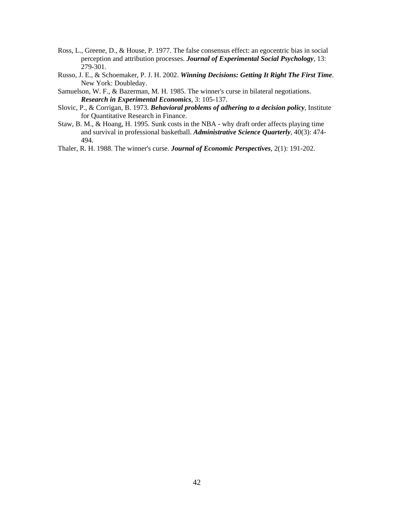- Ross, L., Greene, D., & House, P. 1977. The false consensus effect: an egocentric bias in social perception and attribution processes. *Journal of Experimental Social Psychology*, 13: 279-301.
- Russo, J. E., & Schoemaker, P. J. H. 2002. *Winning Decisions: Getting It Right The First Time*. New York: Doubleday.
- Samuelson, W. F., & Bazerman, M. H. 1985. The winner's curse in bilateral negotiations. *Research in Experimental Economics*, 3: 105-137.
- Slovic, P., & Corrigan, B. 1973. *Behavioral problems of adhering to a decision policy*, Institute for Quantitative Research in Finance.
- Staw, B. M., & Hoang, H. 1995. Sunk costs in the NBA why draft order affects playing time and survival in professional basketball. *Administrative Science Quarterly*, 40(3): 474- 494.
- Thaler, R. H. 1988. The winner's curse. *Journal of Economic Perspectives*, 2(1): 191-202.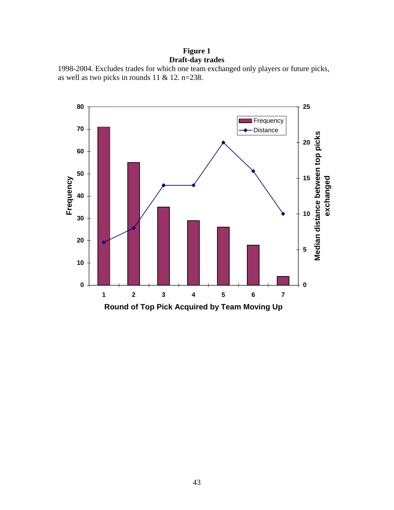# **Figure 1 Draft-day trades**

```
1998-2004. Excludes trades for which one team exchanged only players or future picks, 
as well as two picks in rounds 11 & 12. n=238.
```
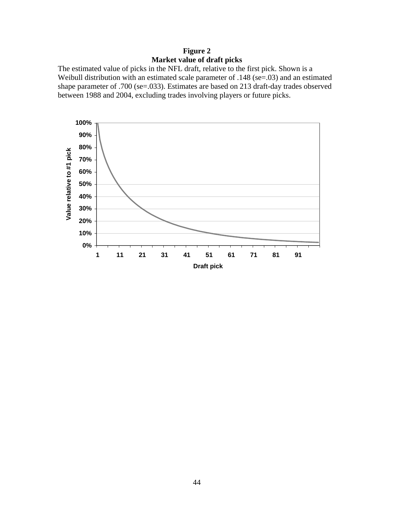**Figure 2 Market value of draft picks** 

The estimated value of picks in the NFL draft, relative to the first pick. Shown is a Weibull distribution with an estimated scale parameter of .148 (se=.03) and an estimated shape parameter of .700 (se=.033). Estimates are based on 213 draft-day trades observed between 1988 and 2004, excluding trades involving players or future picks.

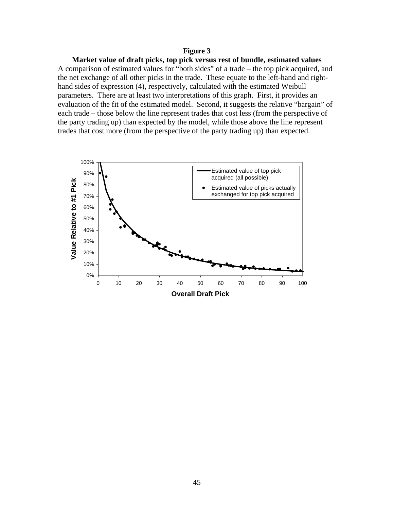### **Figure 3**

**Market value of draft picks, top pick versus rest of bundle, estimated values**  A comparison of estimated values for "both sides" of a trade – the top pick acquired, and the net exchange of all other picks in the trade. These equate to the left-hand and righthand sides of expression (4), respectively, calculated with the estimated Weibull parameters. There are at least two interpretations of this graph. First, it provides an evaluation of the fit of the estimated model. Second, it suggests the relative "bargain" of each trade – those below the line represent trades that cost less (from the perspective of the party trading up) than expected by the model, while those above the line represent trades that cost more (from the perspective of the party trading up) than expected.

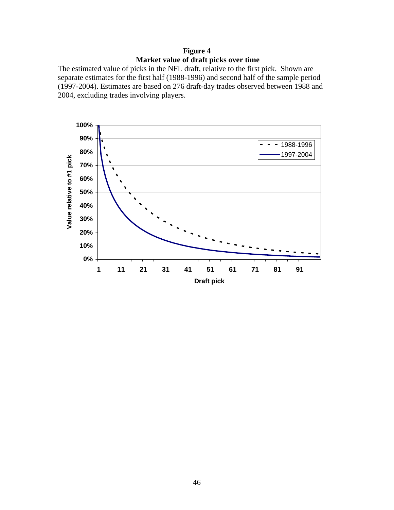# **Figure 4 Market value of draft picks over time**

The estimated value of picks in the NFL draft, relative to the first pick. Shown are separate estimates for the first half (1988-1996) and second half of the sample period (1997-2004). Estimates are based on 276 draft-day trades observed between 1988 and 2004, excluding trades involving players.

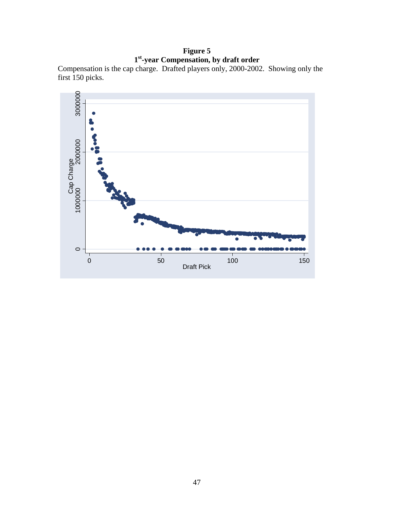# **Figure 5 1st-year Compensation, by draft order**

Compensation is the cap charge. Drafted players only, 2000-2002. Showing only the first 150 picks.

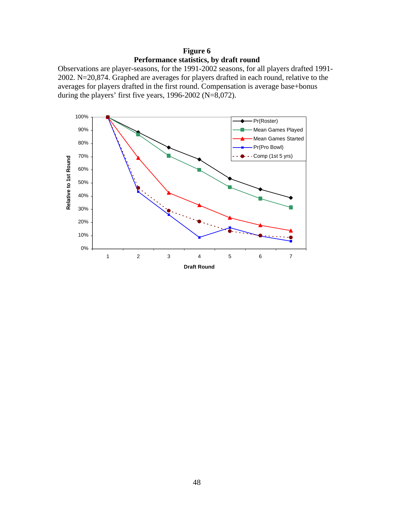**Figure 6 Performance statistics, by draft round**

Observations are player-seasons, for the 1991-2002 seasons, for all players drafted 1991- 2002. N=20,874. Graphed are averages for players drafted in each round, relative to the averages for players drafted in the first round. Compensation is average base+bonus during the players' first five years,  $1996-2002$  (N=8,072).

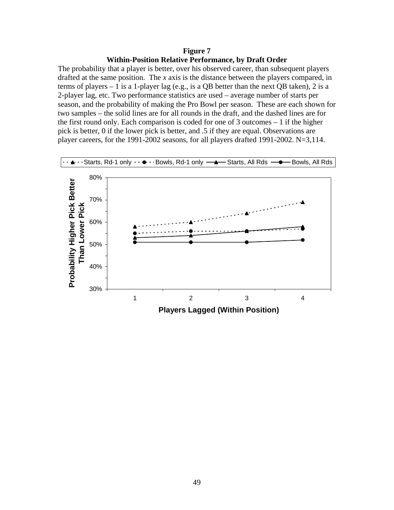### **Figure 7 Within-Position Relative Performance, by Draft Order**

The probability that a player is better, over his observed career, than subsequent players drafted at the same position. The *x* axis is the distance between the players compared, in terms of players – 1 is a 1-player lag (e.g., is a QB better than the next QB taken), 2 is a 2-player lag, etc. Two performance statistics are used – average number of starts per season, and the probability of making the Pro Bowl per season. These are each shown for two samples – the solid lines are for all rounds in the draft, and the dashed lines are for the first round only. Each comparison is coded for one of 3 outcomes – 1 if the higher pick is better, 0 if the lower pick is better, and .5 if they are equal. Observations are player careers, for the 1991-2002 seasons, for all players drafted 1991-2002. N=3,114.

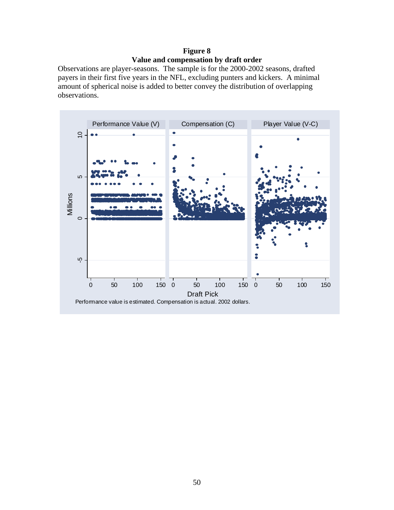## **Figure 8 Value and compensation by draft order**

Observations are player-seasons. The sample is for the 2000-2002 seasons, drafted payers in their first five years in the NFL, excluding punters and kickers. A minimal amount of spherical noise is added to better convey the distribution of overlapping observations.

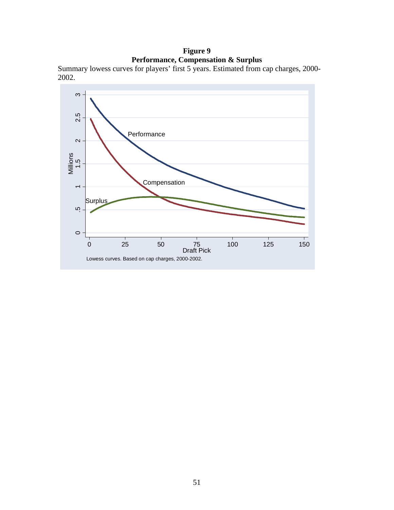# **Figure 9 Performance, Compensation & Surplus**

Summary lowess curves for players' first 5 years. Estimated from cap charges, 2000- 2002.

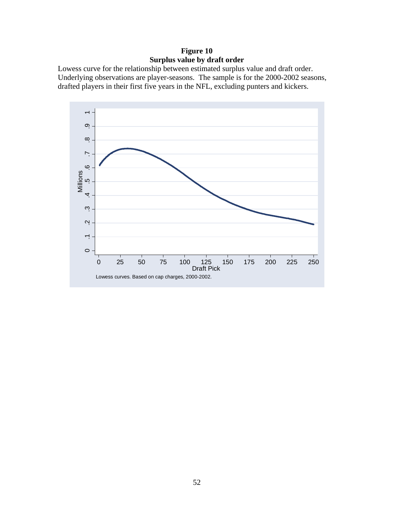# **Figure 10 Surplus value by draft order**

Lowess curve for the relationship between estimated surplus value and draft order. Underlying observations are player-seasons. The sample is for the 2000-2002 seasons, drafted players in their first five years in the NFL, excluding punters and kickers.

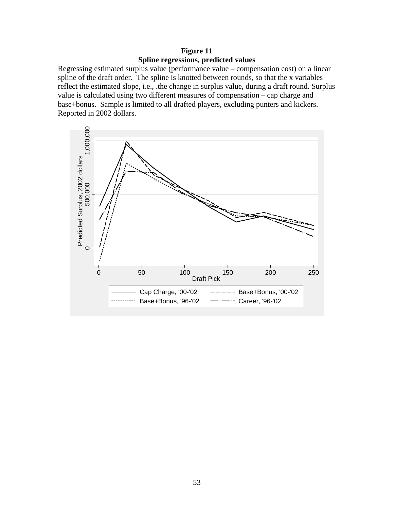# **Figure 11 Spline regressions, predicted values**

Regressing estimated surplus value (performance value – compensation cost) on a linear spline of the draft order. The spline is knotted between rounds, so that the x variables reflect the estimated slope, i.e., .the change in surplus value, during a draft round. Surplus value is calculated using two different measures of compensation – cap charge and base+bonus. Sample is limited to all drafted players, excluding punters and kickers. Reported in 2002 dollars.

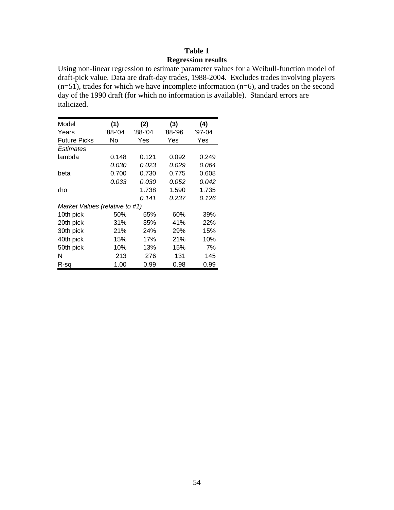## **Table 1 Regression results**

Using non-linear regression to estimate parameter values for a Weibull-function model of draft-pick value. Data are draft-day trades, 1988-2004. Excludes trades involving players  $(n=51)$ , trades for which we have incomplete information  $(n=6)$ , and trades on the second day of the 1990 draft (for which no information is available). Standard errors are italicized.

| Model                          | (1)          | (2)     | (3)     | (4)      |
|--------------------------------|--------------|---------|---------|----------|
| Years                          | '88-'04      | '88-'04 | '88-'96 | $'97-04$ |
| Future Picks                   | No           | Yes     | Yes     | Yes      |
| Estimates                      |              |         |         |          |
| lambda                         | 0.148        | 0.121   | 0.092   | 0.249    |
|                                | <i>0.030</i> | 0.023   | 0.029   | 0.064    |
| beta                           | 0.700        | 0.730   | 0.775   | 0.608    |
|                                | 0.033        | 0.030   | 0.052   | 0.042    |
| rho                            |              | 1.738   | 1.590   | 1.735    |
|                                |              | 0.141   | 0.237   | 0.126    |
| Market Values (relative to #1) |              |         |         |          |
| 10th pick                      | 50%          | 55%     | 60%     | 39%      |
| 20th pick                      | 31%          | 35%     | 41%     | 22%      |
| 30th pick                      | 21%          | 24%     | 29%     | 15%      |
| 40th pick                      | 15%          | 17%     | 21%     | 10%      |
| 50th pick                      | 10%          | 13%     | 15%     | 7%       |
| N                              | 213          | 276     | 131     | 145      |
| R-sa                           | 1.00         | 0.99    | 0.98    | 0.99     |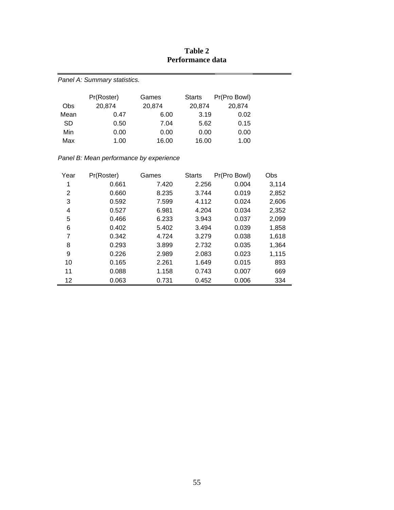| Panel A: Summary statistics. |            |        |        |              |  |  |  |  |  |
|------------------------------|------------|--------|--------|--------------|--|--|--|--|--|
|                              | Pr(Roster) | Games  | Starts | Pr(Pro Bowl) |  |  |  |  |  |
| <b>Obs</b>                   | 20,874     | 20,874 | 20,874 | 20,874       |  |  |  |  |  |
| Mean                         | 0.47       | 6.00   | 3.19   | 0.02         |  |  |  |  |  |
| <b>SD</b>                    | 0.50       | 7.04   | 5.62   | 0.15         |  |  |  |  |  |
| Min                          | 0.00       | 0.00   | 0.00   | 0.00         |  |  |  |  |  |
| Max                          | 1.00       | 16.00  | 16.00  | 1.00         |  |  |  |  |  |

# **Table 2 Performance data**

*Panel B: Mean performance by experience* 

| Year | Pr(Roster) | Games | <b>Starts</b> | Pr(Pro Bowl) | Obs   |
|------|------------|-------|---------------|--------------|-------|
| 1    | 0.661      | 7.420 | 2.256         | 0.004        | 3,114 |
| 2    | 0.660      | 8.235 | 3.744         | 0.019        | 2,852 |
| 3    | 0.592      | 7.599 | 4.112         | 0.024        | 2,606 |
| 4    | 0.527      | 6.981 | 4.204         | 0.034        | 2,352 |
| 5    | 0.466      | 6.233 | 3.943         | 0.037        | 2,099 |
| 6    | 0.402      | 5.402 | 3.494         | 0.039        | 1,858 |
| 7    | 0.342      | 4.724 | 3.279         | 0.038        | 1,618 |
| 8    | 0.293      | 3.899 | 2.732         | 0.035        | 1,364 |
| 9    | 0.226      | 2.989 | 2.083         | 0.023        | 1,115 |
| 10   | 0.165      | 2.261 | 1.649         | 0.015        | 893   |
| 11   | 0.088      | 1.158 | 0.743         | 0.007        | 669   |
| 12   | 0.063      | 0.731 | 0.452         | 0.006        | 334   |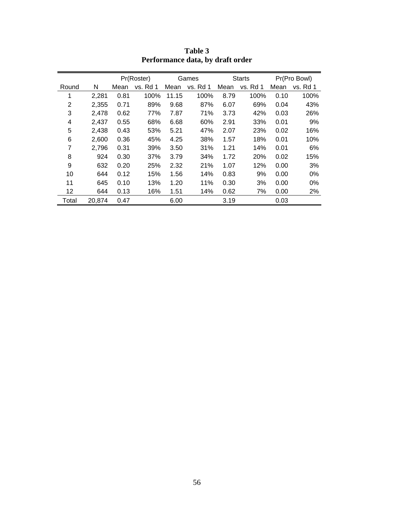|                |        |      | Pr(Roster) |       | Games    |      | <b>Starts</b> |      | Pr(Pro Bowl) |
|----------------|--------|------|------------|-------|----------|------|---------------|------|--------------|
| Round          | N      | Mean | vs. Rd 1   | Mean  | vs. Rd 1 | Mean | vs. Rd 1      | Mean | vs. Rd 1     |
| 1              | 2,281  | 0.81 | 100%       | 11.15 | 100%     | 8.79 | 100%          | 0.10 | 100%         |
| $\overline{2}$ | 2,355  | 0.71 | 89%        | 9.68  | 87%      | 6.07 | 69%           | 0.04 | 43%          |
| 3              | 2,478  | 0.62 | 77%        | 7.87  | 71%      | 3.73 | 42%           | 0.03 | 26%          |
| 4              | 2,437  | 0.55 | 68%        | 6.68  | 60%      | 2.91 | 33%           | 0.01 | 9%           |
| 5              | 2,438  | 0.43 | 53%        | 5.21  | 47%      | 2.07 | 23%           | 0.02 | 16%          |
| 6              | 2,600  | 0.36 | 45%        | 4.25  | 38%      | 1.57 | 18%           | 0.01 | 10%          |
| 7              | 2,796  | 0.31 | 39%        | 3.50  | 31%      | 1.21 | 14%           | 0.01 | 6%           |
| 8              | 924    | 0.30 | 37%        | 3.79  | 34%      | 1.72 | 20%           | 0.02 | 15%          |
| 9              | 632    | 0.20 | 25%        | 2.32  | 21%      | 1.07 | 12%           | 0.00 | 3%           |
| 10             | 644    | 0.12 | 15%        | 1.56  | 14%      | 0.83 | 9%            | 0.00 | 0%           |
| 11             | 645    | 0.10 | 13%        | 1.20  | 11%      | 0.30 | 3%            | 0.00 | 0%           |
| 12             | 644    | 0.13 | 16%        | 1.51  | 14%      | 0.62 | 7%            | 0.00 | 2%           |
| Total          | 20,874 | 0.47 |            | 6.00  |          | 3.19 |               | 0.03 |              |

**Table 3 Performance data, by draft order**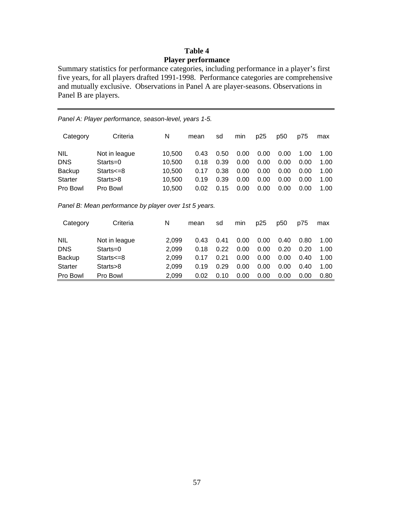## **Table 4 Player performance**

Summary statistics for performance categories, including performance in a player's first five years, for all players drafted 1991-1998. Performance categories are comprehensive and mutually exclusive. Observations in Panel A are player-seasons. Observations in Panel B are players.

| Panel A: Player performance, season-level, years 1-5. |               |        |      |      |      |      |      |      |      |
|-------------------------------------------------------|---------------|--------|------|------|------|------|------|------|------|
| Category                                              | Criteria      | N      | mean | sd   | min  | p25  | p50  | p75  | max  |
| <b>NIL</b>                                            | Not in league | 10,500 | 0.43 | 0.50 | 0.00 | 0.00 | 0.00 | 1.00 | 1.00 |
| <b>DNS</b>                                            | $Starts = 0$  | 10,500 | 0.18 | 0.39 | 0.00 | 0.00 | 0.00 | 0.00 | 1.00 |
| <b>Backup</b>                                         | $Starts = 8$  | 10,500 | 0.17 | 0.38 | 0.00 | 0.00 | 0.00 | 0.00 | 1.00 |
| <b>Starter</b>                                        | Starts>8      | 10,500 | 0.19 | 0.39 | 0.00 | 0.00 | 0.00 | 0.00 | 1.00 |
| Pro Bowl                                              | Pro Bowl      | 10,500 | 0.02 | 0.15 | 0.00 | 0.00 | 0.00 | 0.00 | 1.00 |

|  | Panel B: Mean performance by player over 1st 5 years. |  |
|--|-------------------------------------------------------|--|
|--|-------------------------------------------------------|--|

| Category       | Criteria      | N     | mean | sd   | min  | p25  | p <sub>50</sub> | p75  | max  |
|----------------|---------------|-------|------|------|------|------|-----------------|------|------|
| <b>NIL</b>     | Not in league | 2.099 | 0.43 | 0.41 | 0.00 | 0.00 | 0.40            | 0.80 | 1.00 |
| <b>DNS</b>     | $Starts = 0$  | 2.099 | 0.18 | 0.22 | 0.00 | 0.00 | 0.20            | 0.20 | 1.00 |
| <b>Backup</b>  | $Stars = 8$   | 2.099 | 0.17 | 0.21 | 0.00 | 0.00 | 0.00            | 0.40 | 1.00 |
| <b>Starter</b> | Starts>8      | 2.099 | 0.19 | 0.29 | 0.00 | 0.00 | 0.00            | 0.40 | 1.00 |
| Pro Bowl       | Pro Bowl      | 2.099 | 0.02 | 0.10 | 0.00 | 0.00 | 0.00            | 0.00 | 0.80 |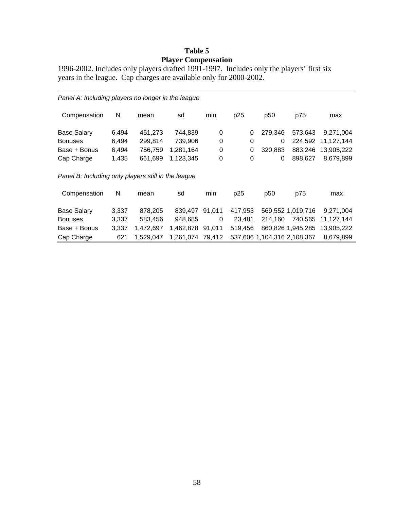# **Table 5 Player Compensation**

1996-2002. Includes only players drafted 1991-1997. Includes only the players' first six years in the league. Cap charges are available only for 2000-2002.

| Panel A: Including players no longer in the league  |       |           |                  |        |          |                             |                   |            |  |  |
|-----------------------------------------------------|-------|-----------|------------------|--------|----------|-----------------------------|-------------------|------------|--|--|
| Compensation                                        | N     | mean      | sd               | min    | p25      | p50                         | p75               | max        |  |  |
| <b>Base Salary</b>                                  | 6,494 | 451,273   | 744,839          | 0      | 0        | 279,346                     | 573,643           | 9,271,004  |  |  |
| <b>Bonuses</b>                                      | 6,494 | 299,814   | 739,906          | 0      | 0        | 0                           | 224.592           | 11,127,144 |  |  |
| Base + Bonus                                        | 6,494 | 756,759   | 1,281,164        | 0      | $\Omega$ | 320,883                     | 883.246           | 13,905,222 |  |  |
| Cap Charge                                          | 1,435 | 661,699   | 1,123,345        | 0      | $\Omega$ | 0                           | 898.627           | 8,679,899  |  |  |
| Panel B: Including only players still in the league |       |           |                  |        |          |                             |                   |            |  |  |
| Compensation                                        | N     | mean      | sd               | min    | p25      | p50                         | p75               | max        |  |  |
| <b>Base Salary</b>                                  | 3,337 | 878,205   | 839,497          | 91,011 | 417,953  |                             | 569,552 1,019,716 | 9,271,004  |  |  |
| <b>Bonuses</b>                                      | 3,337 | 583,456   | 948,685          | 0      | 23.481   | 214.160                     | 740.565           | 11,127,144 |  |  |
| Base + Bonus                                        | 3,337 | 1,472,697 | 1,462,878        | 91.011 | 519,456  |                             | 860,826 1,945,285 | 13,905,222 |  |  |
| Cap Charge                                          | 621   | 1,529,047 | 1,261,074 79,412 |        |          | 537,606 1,104,316 2,108,367 |                   | 8,679,899  |  |  |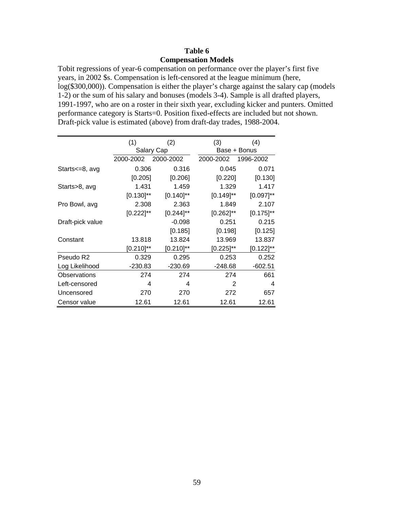## **Table 6 Compensation Models**

Tobit regressions of year-6 compensation on performance over the player's first five years, in 2002 \$s. Compensation is left-censored at the league minimum (here, log(\$300,000)). Compensation is either the player's charge against the salary cap (models 1-2) or the sum of his salary and bonuses (models 3-4). Sample is all drafted players, 1991-1997, who are on a roster in their sixth year, excluding kicker and punters. Omitted performance category is Starts=0. Position fixed-effects are included but not shown. Draft-pick value is estimated (above) from draft-day trades, 1988-2004.

|                     | (1)            | (2)            | (3)            | (4)            |
|---------------------|----------------|----------------|----------------|----------------|
|                     |                | Salary Cap     |                | Base + Bonus   |
|                     | 2000-2002      | 2000-2002      | 2000-2002      | 1996-2002      |
| Starts<=8, avg      | 0.306          | 0.316          | 0.045          | 0.071          |
|                     | [0.205]        | [0.206]        | [0.220]        | [0.130]        |
| Starts>8, avg       | 1.431          | 1.459          | 1.329          | 1.417          |
|                     | $[0.130]^{**}$ | $[0.140]^{**}$ | $[0.149]^{**}$ | $[0.097]^{**}$ |
| Pro Bowl, avg       | 2.308          | 2.363          | 1.849          | 2.107          |
|                     | $[0.222]^{**}$ | $[0.244]^{**}$ | $[0.262]^{**}$ | $[0.175]^{**}$ |
| Draft-pick value    |                | $-0.098$       | 0.251          | 0.215          |
|                     |                | [0.185]        | [0.198]        | [0.125]        |
| Constant            | 13.818         | 13.824         | 13.969         | 13.837         |
|                     | $[0.210]^{**}$ | $[0.210]^{**}$ | $[0.225]^{**}$ | $[0.122]^{**}$ |
| Pseudo R2           | 0.329          | 0.295          | 0.253          | 0.252          |
| Log Likelihood      | $-230.83$      | $-230.69$      | $-248.68$      | $-602.51$      |
| <b>Observations</b> | 274            | 274            | 274            | 661            |
| Left-censored       | 4              | 4              | 2              | 4              |
| Uncensored          | 270            | 270            | 272            | 657            |
| Censor value        | 12.61          | 12.61          | 12.61          | 12.61          |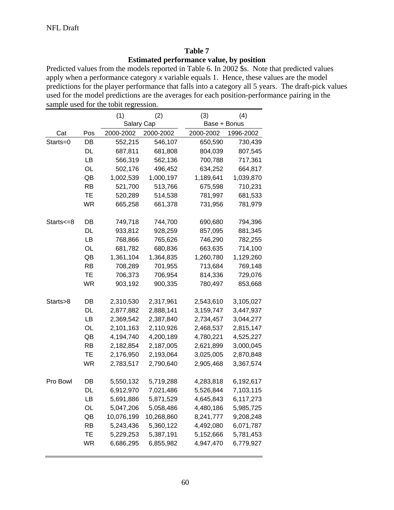## **Table 7 Estimated performance value, by position**

Predicted values from the models reported in Table 6. In 2002 \$s. Note that predicted values apply when a performance category *x* variable equals 1. Hence, these values are the model predictions for the player performance that falls into a category all 5 years. The draft-pick values used for the model predictions are the averages for each position-performance pairing in the sample used for the tobit regression.

|           |           | (1)        | (2)        | (3)          | (4)       |
|-----------|-----------|------------|------------|--------------|-----------|
|           |           | Salary Cap |            | Base + Bonus |           |
| Cat       | Pos       | 2000-2002  | 2000-2002  | 2000-2002    | 1996-2002 |
| Starts=0  | DB        | 552,215    | 546,107    | 650,590      | 730,439   |
|           | DL        | 687,811    | 681,808    | 804,039      | 807,545   |
|           | LB        | 566,319    | 562,136    | 700,788      | 717,361   |
|           | OL        | 502,176    | 496,452    | 634,252      | 664,817   |
|           | QB        | 1,002,539  | 1,000,197  | 1,189,641    | 1,039,870 |
|           | RB        | 521,700    | 513,766    | 675,598      | 710,231   |
|           | TЕ        | 520,289    | 514,538    | 781,997      | 681,533   |
|           | WR        | 665,258    | 661,378    | 731,956      | 781,979   |
| Starts<=8 | DB        | 749,718    | 744,700    | 690,680      | 794,396   |
|           | DL        | 933,812    | 928,259    | 857,095      | 881,345   |
|           | LB        | 768,866    | 765,626    | 746,290      | 782,255   |
|           | OL        | 681,782    | 680,836    | 663,635      | 714,100   |
|           | QB        | 1,361,104  | 1,364,835  | 1,260,780    | 1,129,260 |
|           | RB        | 708,289    | 701,955    | 713,684      | 769,148   |
|           | TЕ        | 706,373    | 706,954    | 814,336      | 729,076   |
|           | WR        | 903,192    | 900,335    | 780,497      | 853,668   |
| Starts>8  | DB        | 2,310,530  | 2,317,961  | 2,543,610    | 3,105,027 |
|           | DL        | 2,877,882  | 2,888,141  | 3,159,747    | 3,447,937 |
|           | LB        | 2,369,542  | 2,387,840  | 2,734,457    | 3,044,277 |
|           | OL        | 2,101,163  | 2,110,926  | 2,468,537    | 2,815,147 |
|           | QB        | 4,194,740  | 4,200,189  | 4,780,221    | 4,525,227 |
|           | RB        | 2,182,854  | 2,187,005  | 2,621,899    | 3,000,045 |
|           | TЕ        | 2,176,950  | 2,193,064  | 3,025,005    | 2,870,848 |
|           | WR        | 2,783,517  | 2,790,640  | 2,905,468    | 3,367,574 |
| Pro Bowl  | DB        | 5,550,132  | 5,719,288  | 4,283,818    | 6,192,617 |
|           | DL        | 6,912,970  | 7,021,486  | 5,526,844    | 7,103,115 |
|           | LВ        | 5,691,886  | 5,871,529  | 4,645,843    | 6,117,273 |
|           | OL        | 5,047,206  | 5,058,486  | 4,480,186    | 5,985,725 |
|           | QB        | 10,076,199 | 10,268,860 | 8,241,777    | 9,208,248 |
|           | <b>RB</b> | 5,243,436  | 5,360,122  | 4,492,080    | 6,071,787 |
|           | TE        | 5,229,253  | 5,387,191  | 5,152,666    | 5,781,453 |
|           | WR        | 6,686,295  | 6,855,982  | 4,947,470    | 6,779,927 |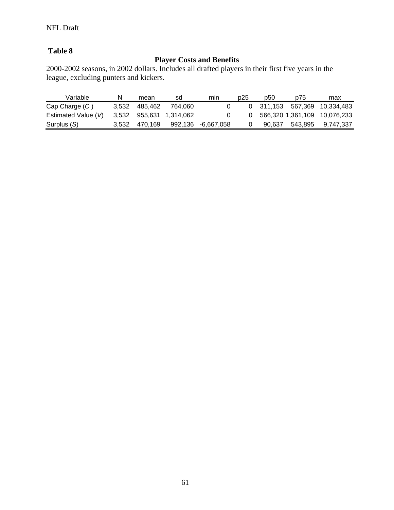# **Table 8**

# **Player Costs and Benefits**

2000-2002 seasons, in 2002 dollars. Includes all drafted players in their first five years in the league, excluding punters and kickers.

| Variable            | N     | mean          | sd                      | mın                | p25 | p50 | p75 | max                          |
|---------------------|-------|---------------|-------------------------|--------------------|-----|-----|-----|------------------------------|
| $Cap$ Charge $(C)$  | 3.532 | 485.462       | 764.060                 |                    |     |     |     | 0 311,153 567,369 10,334,483 |
| Estimated Value (V) |       |               | 3,532 955,631 1,314,062 |                    |     |     |     | 566,320 1,361,109 10,076,233 |
| Surplus (S)         |       | 3,532 470,169 |                         | 992,136 -6,667,058 |     |     |     | 90,637 543,895 9,747,337     |